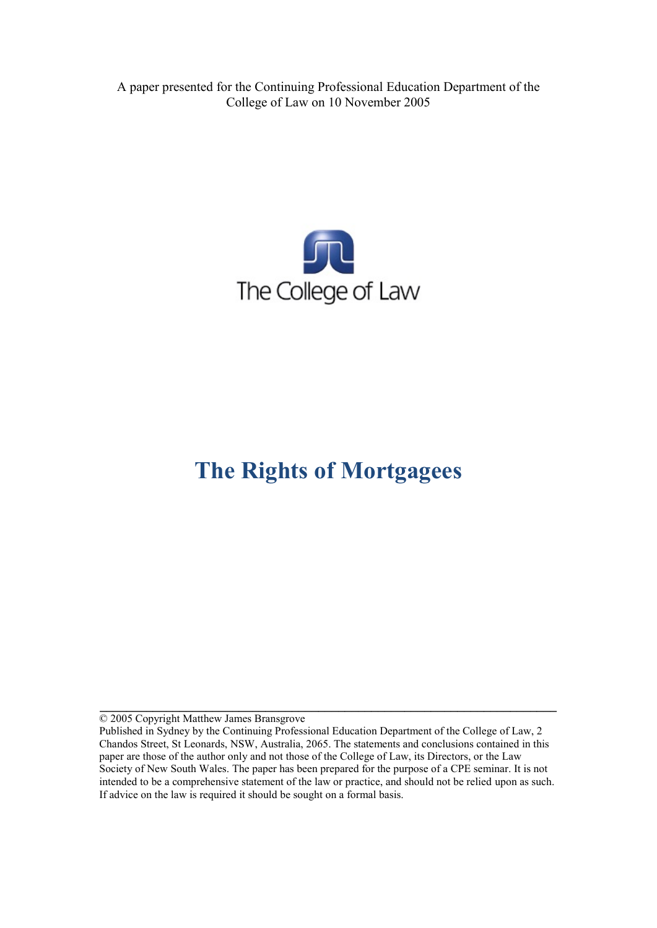A paper presented for the Continuing Professional Education Department of the College of Law on 10 November 2005



# **The Rights of Mortgagees**

© 2005 Copyright Matthew James Bransgrove

**\_\_\_\_\_\_\_\_\_\_\_\_\_\_\_\_\_\_\_\_\_\_\_\_\_\_\_\_\_\_\_\_\_\_\_\_\_\_\_\_\_\_\_\_\_\_\_\_\_\_\_\_\_\_\_\_\_\_\_\_\_\_\_\_\_\_\_\_\_**

Published in Sydney by the Continuing Professional Education Department of the College of Law, 2 Chandos Street, St Leonards, NSW, Australia, 2065. The statements and conclusions contained in this paper are those of the author only and not those of the College of Law, its Directors, or the Law Society of New South Wales. The paper has been prepared for the purpose of a CPE seminar. It is not intended to be a comprehensive statement of the law or practice, and should not be relied upon as such. If advice on the law is required it should be sought on a formal basis.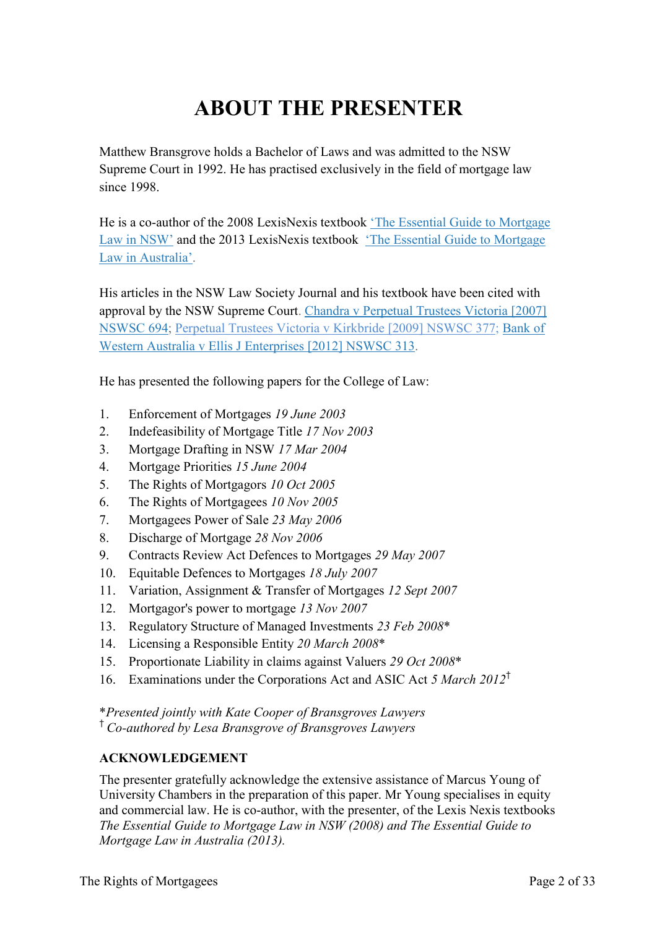# **ABOUT THE PRESENTER**

Matthew Bransgrove holds a Bachelor of Laws and was admitted to the NSW Supreme Court in 1992. He has practised exclusively in the field of mortgage law since 1998.

He is a co-author of the 2008 LexisNexis textbook ['The Essential Guide to Mortgage](http://www.bransgroves.com.au/documents/PDF/Book/OrderForm3LR.pdf) [Law in](http://www.bransgroves.com.au/documents/PDF/Book/OrderForm3LR.pdf) NSW' and the 2013 LexisNexis textbook ['The Essential Guide to Mortgage](http://www.bransgroves.com.au/documents/PDF/Book/EGMLA2ndEdition.pdf) Law in [Australia'.](http://www.bransgroves.com.au/documents/PDF/Book/EGMLA2ndEdition.pdf)

His articles in the NSW Law Society Journal and his textbook have been cited with approval by the NSW Supreme Court. [Chandra v Perpetual Trustees Victoria \[2007\]](http://www.austlii.edu.au/au/cases/nsw/NSWSC/2007/694.html) [NSWSC 694;](http://www.austlii.edu.au/au/cases/nsw/NSWSC/2007/694.html) [Perpetual Trustees Victoria v Kirkbride \[2009\] NSWSC 377;](http://www.austlii.edu.au/au/cases/nsw/NSWSC/2009/377.html) [Bank](http://www.austlii.edu.au/au/cases/nsw/NSWSC/2012/313.html) of [Western Australia v Ellis J Enterprises](http://www.austlii.edu.au/au/cases/nsw/NSWSC/2012/313.html) [2012] NSWSC 313.

He has presented the following papers for the College of Law:

- 1. Enforcement of Mortgages *19 June 2003*
- 2. Indefeasibility of Mortgage Title *17 Nov 2003*
- 3. Mortgage Drafting in NSW *17 Mar 2004*
- 4. Mortgage Priorities *15 June 2004*
- 5. The Rights of Mortgagors *10 Oct 2005*
- 6. The Rights of Mortgagees *10 Nov 2005*
- 7. Mortgagees Power of Sale *23 May 2006*
- 8. Discharge of Mortgage *28 Nov 2006*
- 9. Contracts Review Act Defences to Mortgages *29 May 2007*
- 10. Equitable Defences to Mortgages *18 July 2007*
- 11. Variation, Assignment & Transfer of Mortgages *12 Sept 2007*
- 12. Mortgagor's power to mortgage *13 Nov 2007*
- 13. Regulatory Structure of Managed Investments *23 Feb 2008*\*
- 14. Licensing a Responsible Entity *20 March 2008*\*
- 15. Proportionate Liability in claims against Valuers *29 Oct 2008*\*
- 16. Examinations under the Corporations Act and ASIC Act *5 March 2012*†

\**Presented jointly with Kate Cooper of Bransgroves Lawyers* † *Co-authored by Lesa Bransgrove of Bransgroves Lawyers*

#### **ACKNOWLEDGEMENT**

The presenter gratefully acknowledge the extensive assistance of Marcus Young of University Chambers in the preparation of this paper. Mr Young specialises in equity and commercial law. He is co-author, with the presenter, of the Lexis Nexis textbooks *The Essential Guide to Mortgage Law in NSW (2008) and The Essential Guide to Mortgage Law in Australia (2013).*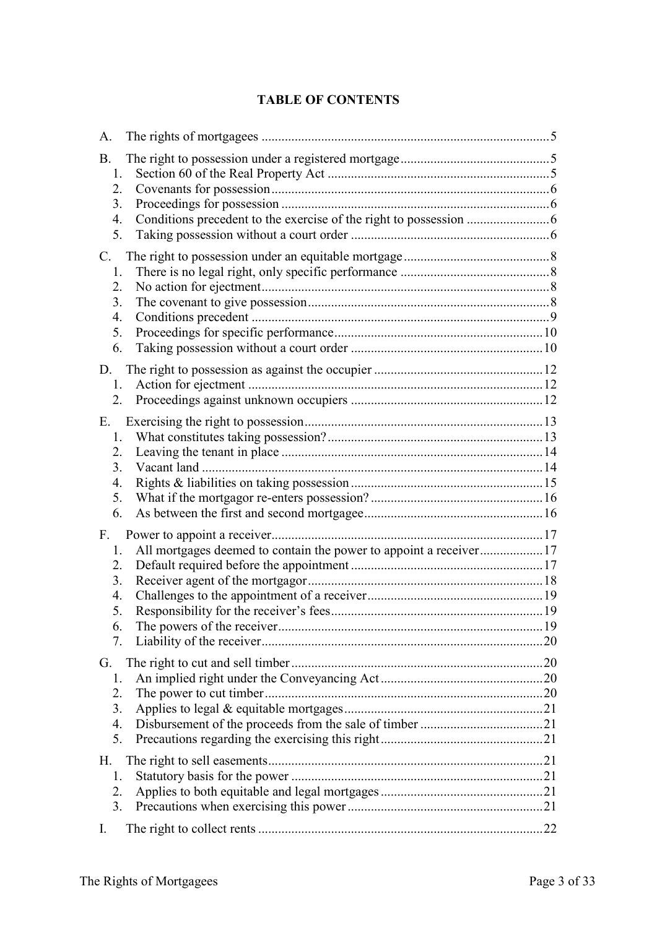### **TABLE OF CONTENTS**

| A.                                                                                                                              |  |
|---------------------------------------------------------------------------------------------------------------------------------|--|
| <b>B.</b><br>1.<br>2.<br>3.<br>4.<br>5.                                                                                         |  |
| C.<br>1.<br>2.<br>3.<br>$\overline{4}$ .<br>5.<br>6.                                                                            |  |
| 1.<br>2.                                                                                                                        |  |
| Е.<br>1.<br>2.<br>3 <sub>1</sub><br>4.<br>5.<br>6.                                                                              |  |
| F.<br>All mortgages deemed to contain the power to appoint a receiver17<br>1.<br>2.<br>3.<br>$\overline{4}$ .<br>5.<br>6.<br>7. |  |
| G.<br>1.<br>2.<br>3.<br>4.<br>5.                                                                                                |  |
| Н.<br>1.<br>2.<br>3.                                                                                                            |  |
| $\mathbf{I}$ .                                                                                                                  |  |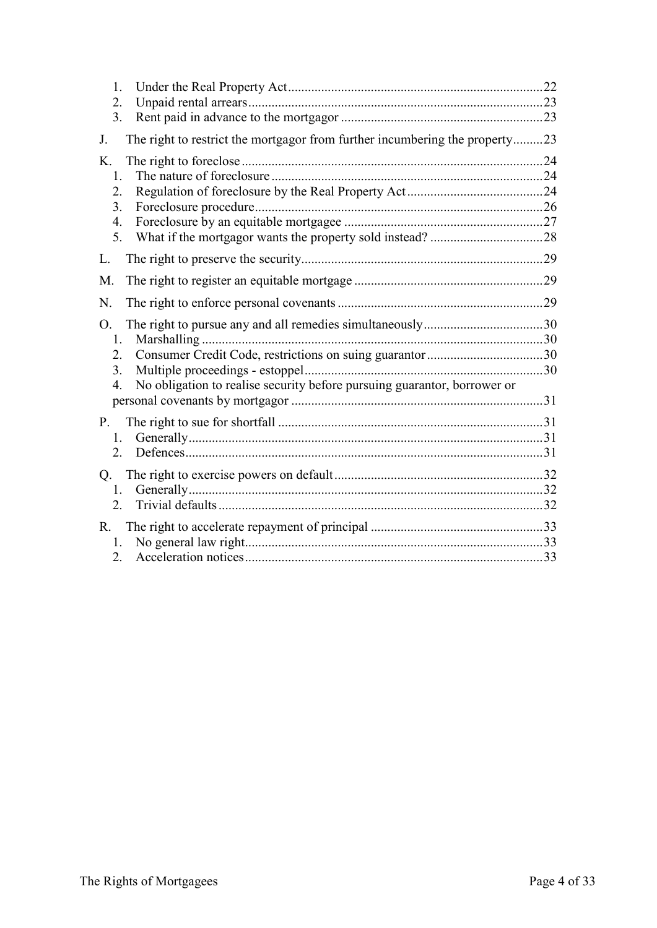| 1.<br>2.<br>3.                                                                               |  |
|----------------------------------------------------------------------------------------------|--|
| The right to restrict the mortgagor from further incumbering the property23<br>J.            |  |
| K.                                                                                           |  |
| 1.                                                                                           |  |
| 2.                                                                                           |  |
| 3.                                                                                           |  |
| 4.                                                                                           |  |
| 5.                                                                                           |  |
| L.                                                                                           |  |
| M.                                                                                           |  |
| N.                                                                                           |  |
| O.                                                                                           |  |
| 1.                                                                                           |  |
| 2.                                                                                           |  |
| 3.                                                                                           |  |
| No obligation to realise security before pursuing guarantor, borrower or<br>$\overline{4}$ . |  |
|                                                                                              |  |
| P.                                                                                           |  |
| 1.                                                                                           |  |
| $2_{-}$                                                                                      |  |
|                                                                                              |  |
| Q <sub>r</sub>                                                                               |  |
| 1.                                                                                           |  |
| 2.                                                                                           |  |
| $R_{\cdot}$                                                                                  |  |
| 1.                                                                                           |  |
| 2.                                                                                           |  |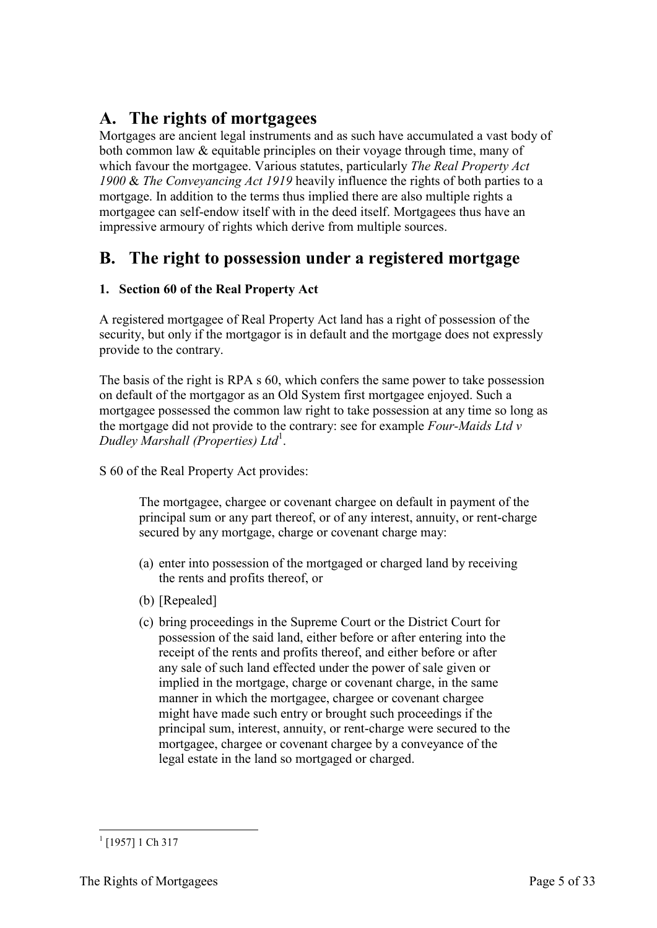# <span id="page-4-0"></span>**A. The rights of mortgagees**

Mortgages are ancient legal instruments and as such have accumulated a vast body of both common law & equitable principles on their voyage through time, many of which favour the mortgagee. Various statutes, particularly *The Real Property Act 1900* & *The Conveyancing Act 1919* heavily influence the rights of both parties to a mortgage. In addition to the terms thus implied there are also multiple rights a mortgagee can self-endow itself with in the deed itself. Mortgagees thus have an impressive armoury of rights which derive from multiple sources.

# <span id="page-4-1"></span>**B. The right to possession under a registered mortgage**

### <span id="page-4-2"></span>**1. Section 60 of the Real Property Act**

A registered mortgagee of Real Property Act land has a right of possession of the security, but only if the mortgagor is in default and the mortgage does not expressly provide to the contrary.

The basis of the right is RPA s 60, which confers the same power to take possession on default of the mortgagor as an Old System first mortgagee enjoyed. Such a mortgagee possessed the common law right to take possession at any time so long as the mortgage did not provide to the contrary: see for example *Four-Maids Ltd v Dudley Marshall (Properties) Ltd*<sup>1</sup> .

S 60 of the Real Property Act provides:

The mortgagee, chargee or covenant chargee on default in payment of the principal sum or any part thereof, or of any interest, annuity, or rent-charge secured by any mortgage, charge or covenant charge may:

- (a) enter into possession of the mortgaged or charged land by receiving the rents and profits thereof, or
- (b) [Repealed]
- (c) bring proceedings in the Supreme Court or the District Court for possession of the said land, either before or after entering into the receipt of the rents and profits thereof, and either before or after any sale of such land effected under the power of sale given or implied in the mortgage, charge or covenant charge, in the same manner in which the mortgagee, chargee or covenant chargee might have made such entry or brought such proceedings if the principal sum, interest, annuity, or rent-charge were secured to the mortgagee, chargee or covenant chargee by a conveyance of the legal estate in the land so mortgaged or charged.

<sup>-</sup> $^{1}$  [1957] 1 Ch 317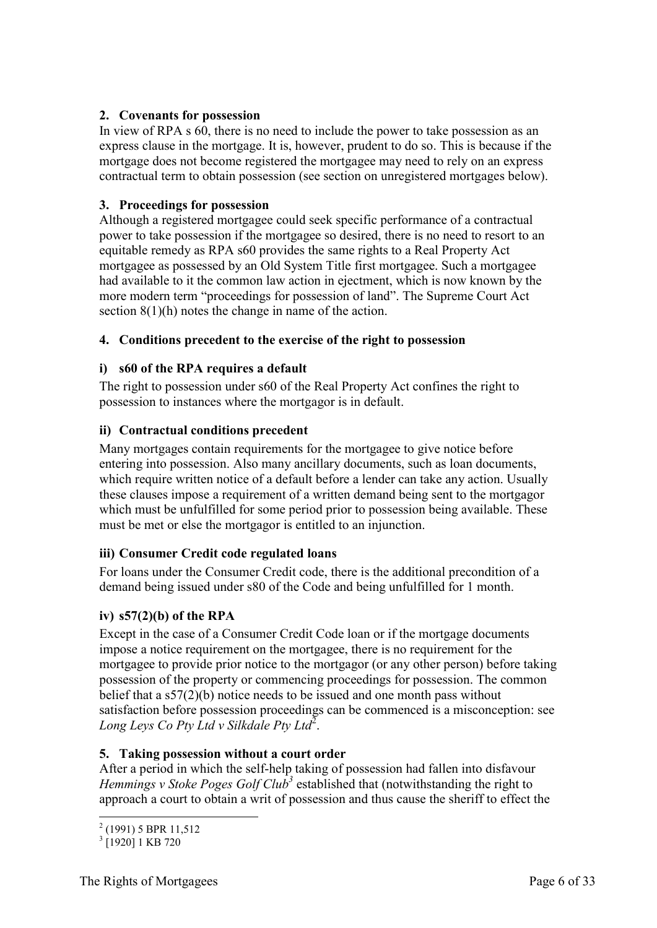#### <span id="page-5-0"></span>**2. Covenants for possession**

In view of RPA s 60, there is no need to include the power to take possession as an express clause in the mortgage. It is, however, prudent to do so. This is because if the mortgage does not become registered the mortgagee may need to rely on an express contractual term to obtain possession (see section on unregistered mortgages below).

#### <span id="page-5-1"></span>**3. Proceedings for possession**

Although a registered mortgagee could seek specific performance of a contractual power to take possession if the mortgagee so desired, there is no need to resort to an equitable remedy as RPA s60 provides the same rights to a Real Property Act mortgagee as possessed by an Old System Title first mortgagee. Such a mortgagee had available to it the common law action in ejectment, which is now known by the more modern term "proceedings for possession of land". The Supreme Court Act section 8(1)(h) notes the change in name of the action.

#### <span id="page-5-2"></span>**4. Conditions precedent to the exercise of the right to possession**

#### **i) s60 of the RPA requires a default**

The right to possession under s60 of the Real Property Act confines the right to possession to instances where the mortgagor is in default.

#### **ii) Contractual conditions precedent**

Many mortgages contain requirements for the mortgagee to give notice before entering into possession. Also many ancillary documents, such as loan documents, which require written notice of a default before a lender can take any action. Usually these clauses impose a requirement of a written demand being sent to the mortgagor which must be unfulfilled for some period prior to possession being available. These must be met or else the mortgagor is entitled to an injunction.

#### **iii) Consumer Credit code regulated loans**

For loans under the Consumer Credit code, there is the additional precondition of a demand being issued under s80 of the Code and being unfulfilled for 1 month.

#### **iv) s57(2)(b) of the RPA**

Except in the case of a Consumer Credit Code loan or if the mortgage documents impose a notice requirement on the mortgagee, there is no requirement for the mortgagee to provide prior notice to the mortgagor (or any other person) before taking possession of the property or commencing proceedings for possession. The common belief that a s57(2)(b) notice needs to be issued and one month pass without satisfaction before possession proceedings can be commenced is a misconception: see Long Leys Co Pty Ltd v Silkdale Pty Ltd<sup>2</sup>.

#### <span id="page-5-3"></span>**5. Taking possession without a court order**

After a period in which the self-help taking of possession had fallen into disfavour *Hemmings v Stoke Poges Golf Club<sup>3</sup>* established that (notwithstanding the right to approach a court to obtain a writ of possession and thus cause the sheriff to effect the

 2 (1991) 5 BPR 11,512

<sup>&</sup>lt;sup>3</sup> [1920] 1 KB 720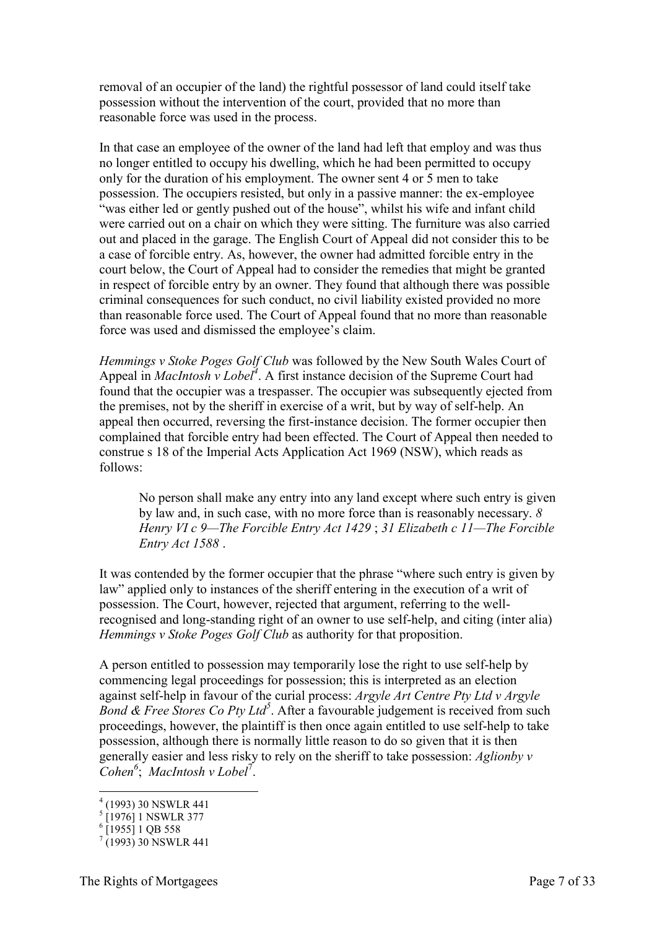removal of an occupier of the land) the rightful possessor of land could itself take possession without the intervention of the court, provided that no more than reasonable force was used in the process.

In that case an employee of the owner of the land had left that employ and was thus no longer entitled to occupy his dwelling, which he had been permitted to occupy only for the duration of his employment. The owner sent 4 or 5 men to take possession. The occupiers resisted, but only in a passive manner: the ex-employee "was either led or gently pushed out of the house", whilst his wife and infant child were carried out on a chair on which they were sitting. The furniture was also carried out and placed in the garage. The English Court of Appeal did not consider this to be a case of forcible entry. As, however, the owner had admitted forcible entry in the court below, the Court of Appeal had to consider the remedies that might be granted in respect of forcible entry by an owner. They found that although there was possible criminal consequences for such conduct, no civil liability existed provided no more than reasonable force used. The Court of Appeal found that no more than reasonable force was used and dismissed the employee's claim.

*Hemmings v Stoke Poges Golf Club* was followed by the New South Wales Court of Appeal in *MacIntosh v Lobel<sup>4</sup>* . A first instance decision of the Supreme Court had found that the occupier was a trespasser. The occupier was subsequently ejected from the premises, not by the sheriff in exercise of a writ, but by way of self-help. An appeal then occurred, reversing the first-instance decision. The former occupier then complained that forcible entry had been effected. The Court of Appeal then needed to construe s 18 of the Imperial Acts Application Act 1969 (NSW), which reads as follows:

No person shall make any entry into any land except where such entry is given by law and, in such case, with no more force than is reasonably necessary. *8 Henry VI c 9—The Forcible Entry Act 1429* ; *31 Elizabeth c 11—The Forcible Entry Act 1588* .

It was contended by the former occupier that the phrase "where such entry is given by law" applied only to instances of the sheriff entering in the execution of a writ of possession. The Court, however, rejected that argument, referring to the wellrecognised and long-standing right of an owner to use self-help, and citing (inter alia) *Hemmings v Stoke Poges Golf Club* as authority for that proposition.

A person entitled to possession may temporarily lose the right to use self-help by commencing legal proceedings for possession; this is interpreted as an election against self-help in favour of the curial process: *Argyle Art Centre Pty Ltd v Argyle Bond & Free Stores Co Pty Ltd<sup>5</sup>* . After a favourable judgement is received from such proceedings, however, the plaintiff is then once again entitled to use self-help to take possession, although there is normally little reason to do so given that it is then generally easier and less risky to rely on the sheriff to take possession: *Aglionby v Cohen<sup>6</sup>* ; *MacIntosh v Lobel*<sup>7</sup> .

-

<sup>4</sup> (1993) 30 NSWLR 441

<sup>&</sup>lt;sup>5</sup> [1976] 1 NSWLR 377<br><sup>6</sup> [1955] 1 QB 558

 $(1993)$  30 NSWLR 441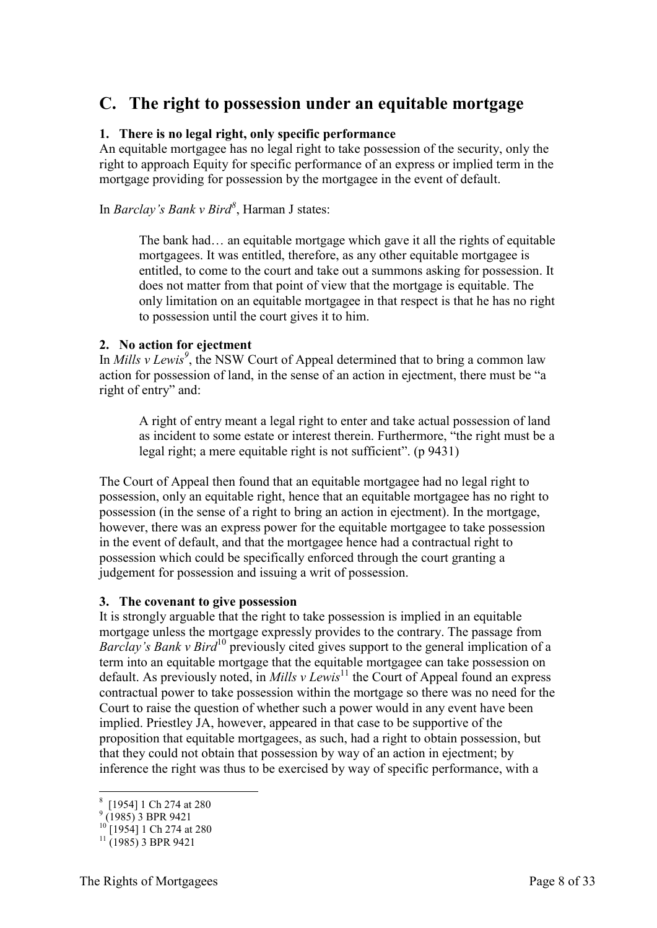# <span id="page-7-0"></span>**C. The right to possession under an equitable mortgage**

#### <span id="page-7-1"></span>**1. There is no legal right, only specific performance**

An equitable mortgagee has no legal right to take possession of the security, only the right to approach Equity for specific performance of an express or implied term in the mortgage providing for possession by the mortgagee in the event of default.

In *Barclay's Bank v Bird<sup>8</sup>* , Harman J states:

The bank had… an equitable mortgage which gave it all the rights of equitable mortgagees. It was entitled, therefore, as any other equitable mortgagee is entitled, to come to the court and take out a summons asking for possession. It does not matter from that point of view that the mortgage is equitable. The only limitation on an equitable mortgagee in that respect is that he has no right to possession until the court gives it to him.

#### <span id="page-7-2"></span>**2. No action for ejectment**

In *Mills v Lewis<sup>9</sup>* , the NSW Court of Appeal determined that to bring a common law action for possession of land, in the sense of an action in ejectment, there must be "a right of entry" and:

A right of entry meant a legal right to enter and take actual possession of land as incident to some estate or interest therein. Furthermore, "the right must be a legal right; a mere equitable right is not sufficient". (p 9431)

The Court of Appeal then found that an equitable mortgagee had no legal right to possession, only an equitable right, hence that an equitable mortgagee has no right to possession (in the sense of a right to bring an action in ejectment). In the mortgage, however, there was an express power for the equitable mortgagee to take possession in the event of default, and that the mortgagee hence had a contractual right to possession which could be specifically enforced through the court granting a judgement for possession and issuing a writ of possession.

#### <span id="page-7-3"></span>**3. The covenant to give possession**

It is strongly arguable that the right to take possession is implied in an equitable mortgage unless the mortgage expressly provides to the contrary. The passage from *Barclay's Bank v Bird*<sup>10</sup> previously cited gives support to the general implication of a term into an equitable mortgage that the equitable mortgagee can take possession on default. As previously noted, in *Mills v Lewis*<sup>11</sup> the Court of Appeal found an express contractual power to take possession within the mortgage so there was no need for the Court to raise the question of whether such a power would in any event have been implied. Priestley JA, however, appeared in that case to be supportive of the proposition that equitable mortgagees, as such, had a right to obtain possession, but that they could not obtain that possession by way of an action in ejectment; by inference the right was thus to be exercised by way of specific performance, with a

 8 [1954] 1 Ch 274 at 280 9 (1985) 3 BPR 9421

<sup>&</sup>lt;sup>10</sup> [1954] 1 Ch 274 at 280

 $11$  (1985) 3 BPR 9421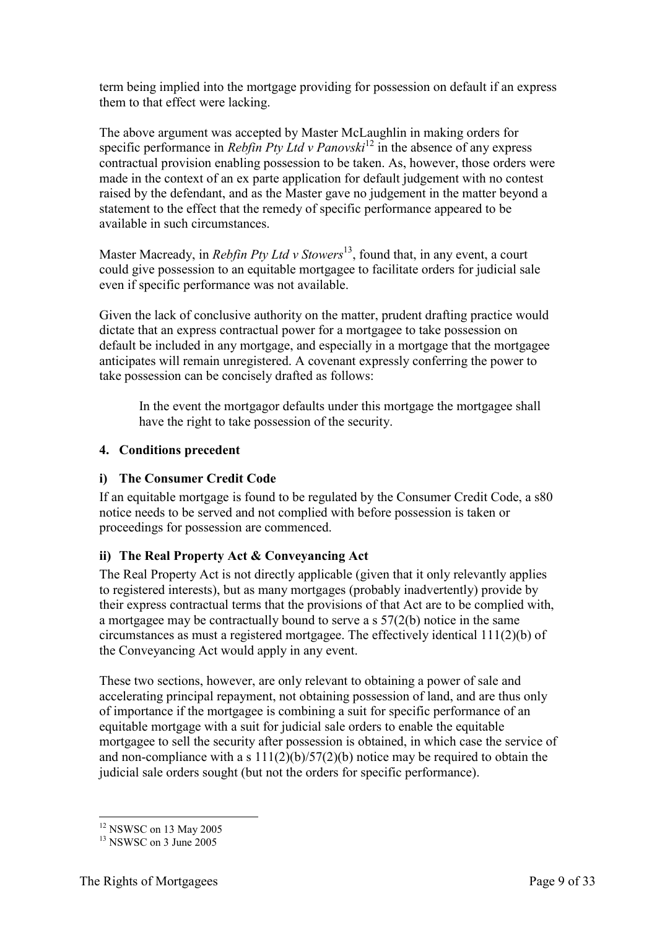term being implied into the mortgage providing for possession on default if an express them to that effect were lacking.

The above argument was accepted by Master McLaughlin in making orders for specific performance in *Rebfin Pty Ltd v Panovski*<sup>12</sup> in the absence of any express contractual provision enabling possession to be taken. As, however, those orders were made in the context of an ex parte application for default judgement with no contest raised by the defendant, and as the Master gave no judgement in the matter beyond a statement to the effect that the remedy of specific performance appeared to be available in such circumstances.

Master Macready, in *Rebfin Pty Ltd v Stowers*<sup>13</sup>, found that, in any event, a court could give possession to an equitable mortgagee to facilitate orders for judicial sale even if specific performance was not available.

Given the lack of conclusive authority on the matter, prudent drafting practice would dictate that an express contractual power for a mortgagee to take possession on default be included in any mortgage, and especially in a mortgage that the mortgagee anticipates will remain unregistered. A covenant expressly conferring the power to take possession can be concisely drafted as follows:

In the event the mortgagor defaults under this mortgage the mortgagee shall have the right to take possession of the security.

#### <span id="page-8-0"></span>**4. Conditions precedent**

#### **i) The Consumer Credit Code**

If an equitable mortgage is found to be regulated by the Consumer Credit Code, a s80 notice needs to be served and not complied with before possession is taken or proceedings for possession are commenced.

### **ii) The Real Property Act & Conveyancing Act**

The Real Property Act is not directly applicable (given that it only relevantly applies to registered interests), but as many mortgages (probably inadvertently) provide by their express contractual terms that the provisions of that Act are to be complied with, a mortgagee may be contractually bound to serve a s 57(2(b) notice in the same circumstances as must a registered mortgagee. The effectively identical 111(2)(b) of the Conveyancing Act would apply in any event.

These two sections, however, are only relevant to obtaining a power of sale and accelerating principal repayment, not obtaining possession of land, and are thus only of importance if the mortgagee is combining a suit for specific performance of an equitable mortgage with a suit for judicial sale orders to enable the equitable mortgagee to sell the security after possession is obtained, in which case the service of and non-compliance with a s  $111(2)(b)/57(2)(b)$  notice may be required to obtain the judicial sale orders sought (but not the orders for specific performance).

<sup>-</sup><sup>12</sup> NSWSC on 13 May 2005

 $13$  NSWSC on 3 June 2005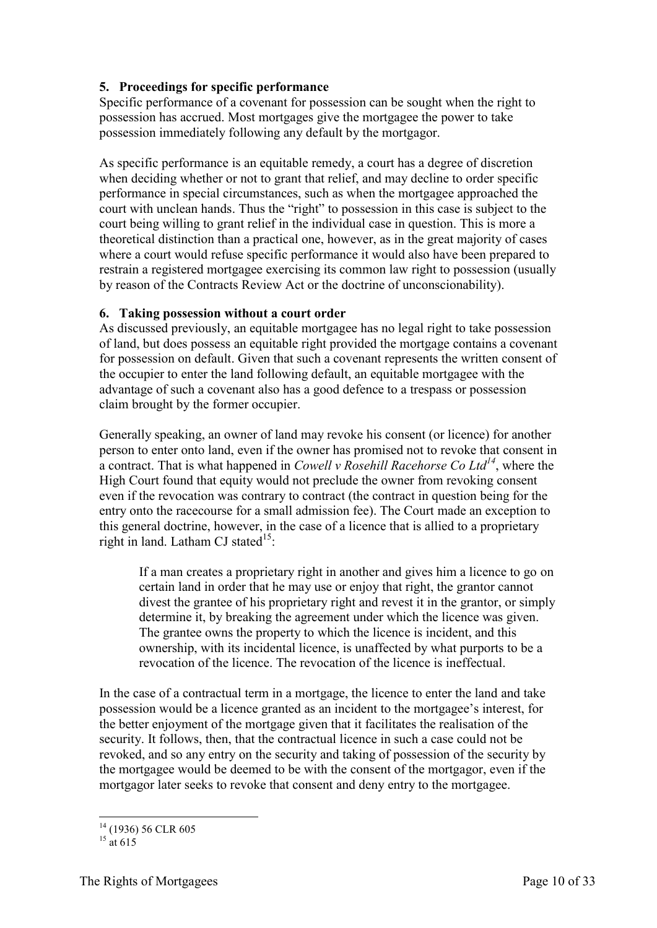#### <span id="page-9-0"></span>**5. Proceedings for specific performance**

Specific performance of a covenant for possession can be sought when the right to possession has accrued. Most mortgages give the mortgagee the power to take possession immediately following any default by the mortgagor.

As specific performance is an equitable remedy, a court has a degree of discretion when deciding whether or not to grant that relief, and may decline to order specific performance in special circumstances, such as when the mortgagee approached the court with unclean hands. Thus the "right" to possession in this case is subject to the court being willing to grant relief in the individual case in question. This is more a theoretical distinction than a practical one, however, as in the great majority of cases where a court would refuse specific performance it would also have been prepared to restrain a registered mortgagee exercising its common law right to possession (usually by reason of the Contracts Review Act or the doctrine of unconscionability).

#### <span id="page-9-1"></span>**6. Taking possession without a court order**

As discussed previously, an equitable mortgagee has no legal right to take possession of land, but does possess an equitable right provided the mortgage contains a covenant for possession on default. Given that such a covenant represents the written consent of the occupier to enter the land following default, an equitable mortgagee with the advantage of such a covenant also has a good defence to a trespass or possession claim brought by the former occupier.

Generally speaking, an owner of land may revoke his consent (or licence) for another person to enter onto land, even if the owner has promised not to revoke that consent in a contract. That is what happened in *Cowell v Rosehill Racehorse Co Ltd<sup>14</sup>*, where the High Court found that equity would not preclude the owner from revoking consent even if the revocation was contrary to contract (the contract in question being for the entry onto the racecourse for a small admission fee). The Court made an exception to this general doctrine, however, in the case of a licence that is allied to a proprietary right in land. Latham CJ stated<sup>15</sup>:

If a man creates a proprietary right in another and gives him a licence to go on certain land in order that he may use or enjoy that right, the grantor cannot divest the grantee of his proprietary right and revest it in the grantor, or simply determine it, by breaking the agreement under which the licence was given. The grantee owns the property to which the licence is incident, and this ownership, with its incidental licence, is unaffected by what purports to be a revocation of the licence. The revocation of the licence is ineffectual.

In the case of a contractual term in a mortgage, the licence to enter the land and take possession would be a licence granted as an incident to the mortgagee's interest, for the better enjoyment of the mortgage given that it facilitates the realisation of the security. It follows, then, that the contractual licence in such a case could not be revoked, and so any entry on the security and taking of possession of the security by the mortgagee would be deemed to be with the consent of the mortgagor, even if the mortgagor later seeks to revoke that consent and deny entry to the mortgagee.

<sup>-</sup><sup>14</sup> (1936) 56 CLR 605

 $^{15}$  at 615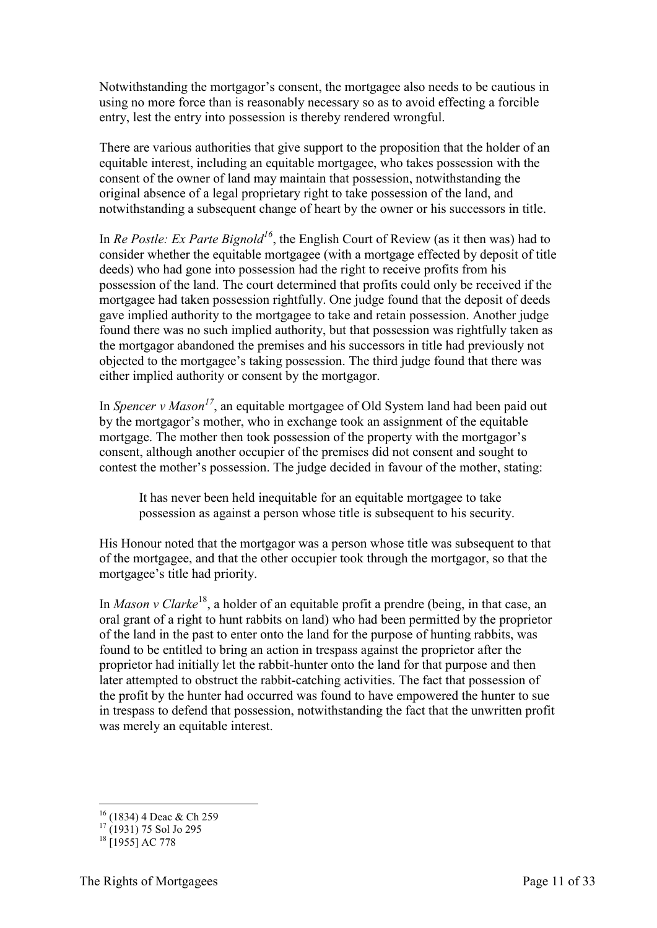Notwithstanding the mortgagor's consent, the mortgagee also needs to be cautious in using no more force than is reasonably necessary so as to avoid effecting a forcible entry, lest the entry into possession is thereby rendered wrongful.

There are various authorities that give support to the proposition that the holder of an equitable interest, including an equitable mortgagee, who takes possession with the consent of the owner of land may maintain that possession, notwithstanding the original absence of a legal proprietary right to take possession of the land, and notwithstanding a subsequent change of heart by the owner or his successors in title.

In *Re Postle: Ex Parte Bignold<sup>16</sup>*, the English Court of Review (as it then was) had to consider whether the equitable mortgagee (with a mortgage effected by deposit of title deeds) who had gone into possession had the right to receive profits from his possession of the land. The court determined that profits could only be received if the mortgagee had taken possession rightfully. One judge found that the deposit of deeds gave implied authority to the mortgagee to take and retain possession. Another judge found there was no such implied authority, but that possession was rightfully taken as the mortgagor abandoned the premises and his successors in title had previously not objected to the mortgagee's taking possession. The third judge found that there was either implied authority or consent by the mortgagor.

In *Spencer v Mason<sup>17</sup>*, an equitable mortgagee of Old System land had been paid out by the mortgagor's mother, who in exchange took an assignment of the equitable mortgage. The mother then took possession of the property with the mortgagor's consent, although another occupier of the premises did not consent and sought to contest the mother's possession. The judge decided in favour of the mother, stating:

It has never been held inequitable for an equitable mortgagee to take possession as against a person whose title is subsequent to his security.

His Honour noted that the mortgagor was a person whose title was subsequent to that of the mortgagee, and that the other occupier took through the mortgagor, so that the mortgagee's title had priority.

In *Mason v Clarke*<sup>18</sup>, a holder of an equitable profit a prendre (being, in that case, an oral grant of a right to hunt rabbits on land) who had been permitted by the proprietor of the land in the past to enter onto the land for the purpose of hunting rabbits, was found to be entitled to bring an action in trespass against the proprietor after the proprietor had initially let the rabbit-hunter onto the land for that purpose and then later attempted to obstruct the rabbit-catching activities. The fact that possession of the profit by the hunter had occurred was found to have empowered the hunter to sue in trespass to defend that possession, notwithstanding the fact that the unwritten profit was merely an equitable interest.

<sup>-</sup> $16$  (1834) 4 Deac & Ch 259

 $17$  (1931) 75 Sol Jo 295

 $18$   $\Gamma$ 19551 AC 778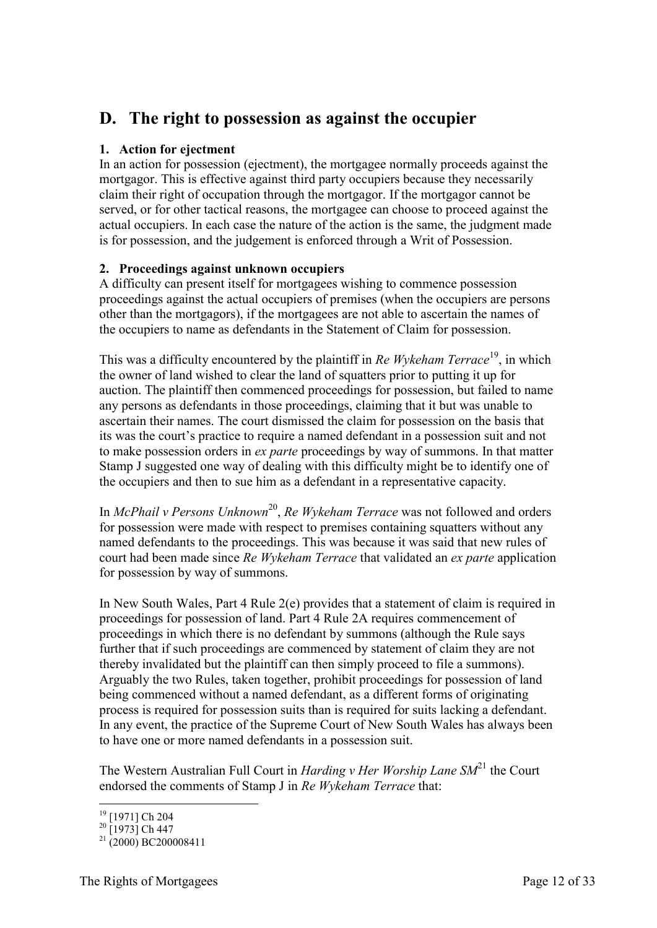# <span id="page-11-0"></span>**D. The right to possession as against the occupier**

#### <span id="page-11-1"></span>**1. Action for ejectment**

In an action for possession (ejectment), the mortgagee normally proceeds against the mortgagor. This is effective against third party occupiers because they necessarily claim their right of occupation through the mortgagor. If the mortgagor cannot be served, or for other tactical reasons, the mortgagee can choose to proceed against the actual occupiers. In each case the nature of the action is the same, the judgment made is for possession, and the judgement is enforced through a Writ of Possession.

#### <span id="page-11-2"></span>**2. Proceedings against unknown occupiers**

A difficulty can present itself for mortgagees wishing to commence possession proceedings against the actual occupiers of premises (when the occupiers are persons other than the mortgagors), if the mortgagees are not able to ascertain the names of the occupiers to name as defendants in the Statement of Claim for possession.

This was a difficulty encountered by the plaintiff in *Re Wykeham Terrace*<sup>19</sup>, in which the owner of land wished to clear the land of squatters prior to putting it up for auction. The plaintiff then commenced proceedings for possession, but failed to name any persons as defendants in those proceedings, claiming that it but was unable to ascertain their names. The court dismissed the claim for possession on the basis that its was the court's practice to require a named defendant in a possession suit and not to make possession orders in *ex parte* proceedings by way of summons. In that matter Stamp J suggested one way of dealing with this difficulty might be to identify one of the occupiers and then to sue him as a defendant in a representative capacity.

In *McPhail v Persons Unknown<sup>20</sup>*, *Re Wykeham Terrace* was not followed and orders for possession were made with respect to premises containing squatters without any named defendants to the proceedings. This was because it was said that new rules of court had been made since *Re Wykeham Terrace* that validated an *ex parte* application for possession by way of summons.

In New South Wales, Part 4 Rule 2(e) provides that a statement of claim is required in proceedings for possession of land. Part 4 Rule 2A requires commencement of proceedings in which there is no defendant by summons (although the Rule says further that if such proceedings are commenced by statement of claim they are not thereby invalidated but the plaintiff can then simply proceed to file a summons). Arguably the two Rules, taken together, prohibit proceedings for possession of land being commenced without a named defendant, as a different forms of originating process is required for possession suits than is required for suits lacking a defendant. In any event, the practice of the Supreme Court of New South Wales has always been to have one or more named defendants in a possession suit.

The Western Australian Full Court in *Harding v Her Worship Lane* SM<sup>21</sup> the Court endorsed the comments of Stamp J in *Re Wykeham Terrace* that:

<sup>-</sup><sup>19</sup> [1971] Ch 204

 $^{20}$  [1973] Ch 447

 $^{21}$  (2000) BC200008411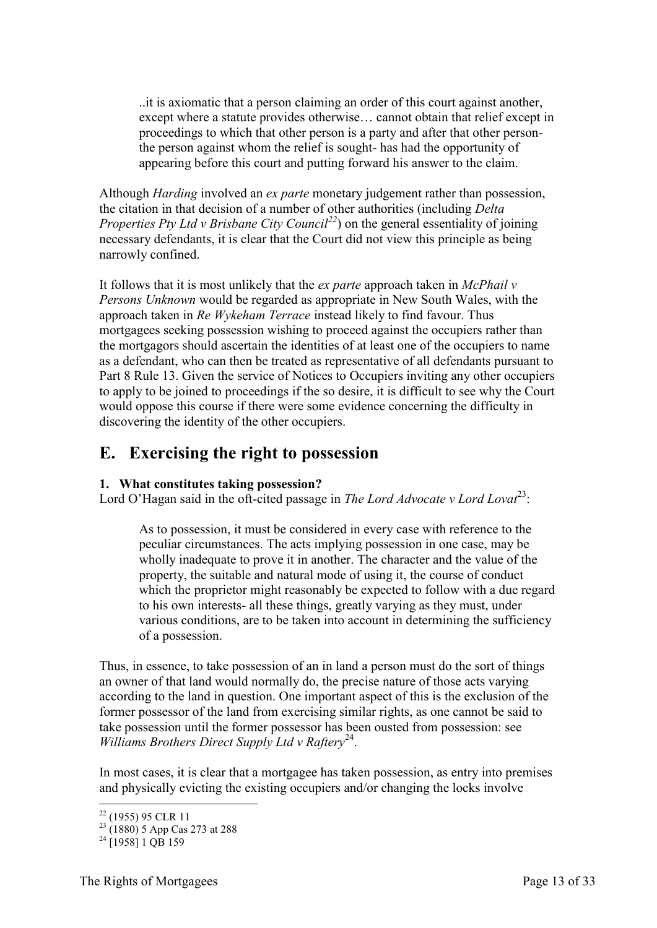..it is axiomatic that a person claiming an order of this court against another, except where a statute provides otherwise… cannot obtain that relief except in proceedings to which that other person is a party and after that other personthe person against whom the relief is sought- has had the opportunity of appearing before this court and putting forward his answer to the claim.

Although *Harding* involved an *ex parte* monetary judgement rather than possession, the citation in that decision of a number of other authorities (including *Delta Properties Pty Ltd v Brisbane City Council*<sup>22</sup>) on the general essentiality of joining necessary defendants, it is clear that the Court did not view this principle as being narrowly confined.

It follows that it is most unlikely that the *ex parte* approach taken in *McPhail v Persons Unknown* would be regarded as appropriate in New South Wales, with the approach taken in *Re Wykeham Terrace* instead likely to find favour. Thus mortgagees seeking possession wishing to proceed against the occupiers rather than the mortgagors should ascertain the identities of at least one of the occupiers to name as a defendant, who can then be treated as representative of all defendants pursuant to Part 8 Rule 13. Given the service of Notices to Occupiers inviting any other occupiers to apply to be joined to proceedings if the so desire, it is difficult to see why the Court would oppose this course if there were some evidence concerning the difficulty in discovering the identity of the other occupiers.

# <span id="page-12-0"></span>**E. Exercising the right to possession**

#### <span id="page-12-1"></span>**1. What constitutes taking possession?**

Lord O'Hagan said in the oft-cited passage in *The Lord Advocate v Lord Lovat*<sup>23</sup>:

As to possession, it must be considered in every case with reference to the peculiar circumstances. The acts implying possession in one case, may be wholly inadequate to prove it in another. The character and the value of the property, the suitable and natural mode of using it, the course of conduct which the proprietor might reasonably be expected to follow with a due regard to his own interests- all these things, greatly varying as they must, under various conditions, are to be taken into account in determining the sufficiency of a possession.

Thus, in essence, to take possession of an in land a person must do the sort of things an owner of that land would normally do, the precise nature of those acts varying according to the land in question. One important aspect of this is the exclusion of the former possessor of the land from exercising similar rights, as one cannot be said to take possession until the former possessor has been ousted from possession: see Williams Brothers Direct Supply Ltd v Raftery<sup>24</sup>.

In most cases, it is clear that a mortgagee has taken possession, as entry into premises and physically evicting the existing occupiers and/or changing the locks involve

<sup>-</sup> $22$  (1955) 95 CLR 11

 $^{23}$  (1880) 5 App Cas 273 at 288

 $^{24}$  [1958] 1 OB 159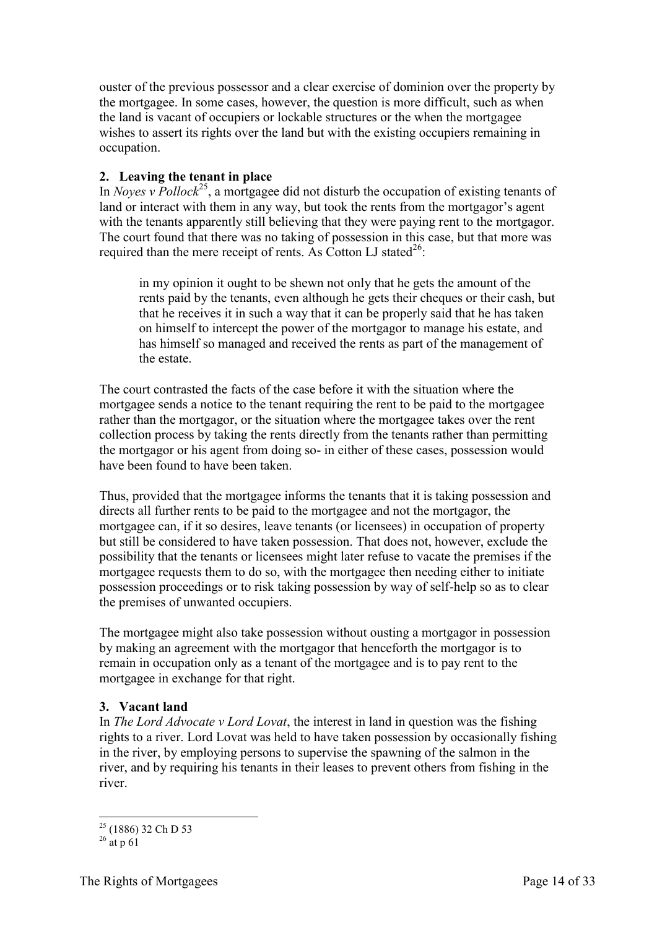ouster of the previous possessor and a clear exercise of dominion over the property by the mortgagee. In some cases, however, the question is more difficult, such as when the land is vacant of occupiers or lockable structures or the when the mortgagee wishes to assert its rights over the land but with the existing occupiers remaining in occupation.

#### <span id="page-13-0"></span>**2. Leaving the tenant in place**

In *Noyes v Pollock*<sup>25</sup>, a mortgagee did not disturb the occupation of existing tenants of land or interact with them in any way, but took the rents from the mortgagor's agent with the tenants apparently still believing that they were paying rent to the mortgagor. The court found that there was no taking of possession in this case, but that more was required than the mere receipt of rents. As Cotton LJ stated<sup>26</sup>:

in my opinion it ought to be shewn not only that he gets the amount of the rents paid by the tenants, even although he gets their cheques or their cash, but that he receives it in such a way that it can be properly said that he has taken on himself to intercept the power of the mortgagor to manage his estate, and has himself so managed and received the rents as part of the management of the estate.

The court contrasted the facts of the case before it with the situation where the mortgagee sends a notice to the tenant requiring the rent to be paid to the mortgagee rather than the mortgagor, or the situation where the mortgagee takes over the rent collection process by taking the rents directly from the tenants rather than permitting the mortgagor or his agent from doing so- in either of these cases, possession would have been found to have been taken.

Thus, provided that the mortgagee informs the tenants that it is taking possession and directs all further rents to be paid to the mortgagee and not the mortgagor, the mortgagee can, if it so desires, leave tenants (or licensees) in occupation of property but still be considered to have taken possession. That does not, however, exclude the possibility that the tenants or licensees might later refuse to vacate the premises if the mortgagee requests them to do so, with the mortgagee then needing either to initiate possession proceedings or to risk taking possession by way of self-help so as to clear the premises of unwanted occupiers.

The mortgagee might also take possession without ousting a mortgagor in possession by making an agreement with the mortgagor that henceforth the mortgagor is to remain in occupation only as a tenant of the mortgagee and is to pay rent to the mortgagee in exchange for that right.

#### <span id="page-13-1"></span>**3. Vacant land**

In *The Lord Advocate v Lord Lovat*, the interest in land in question was the fishing rights to a river. Lord Lovat was held to have taken possession by occasionally fishing in the river, by employing persons to supervise the spawning of the salmon in the river, and by requiring his tenants in their leases to prevent others from fishing in the river.

<sup>-</sup><sup>25</sup> (1886) 32 Ch D 53

 $^{26}$  at p 61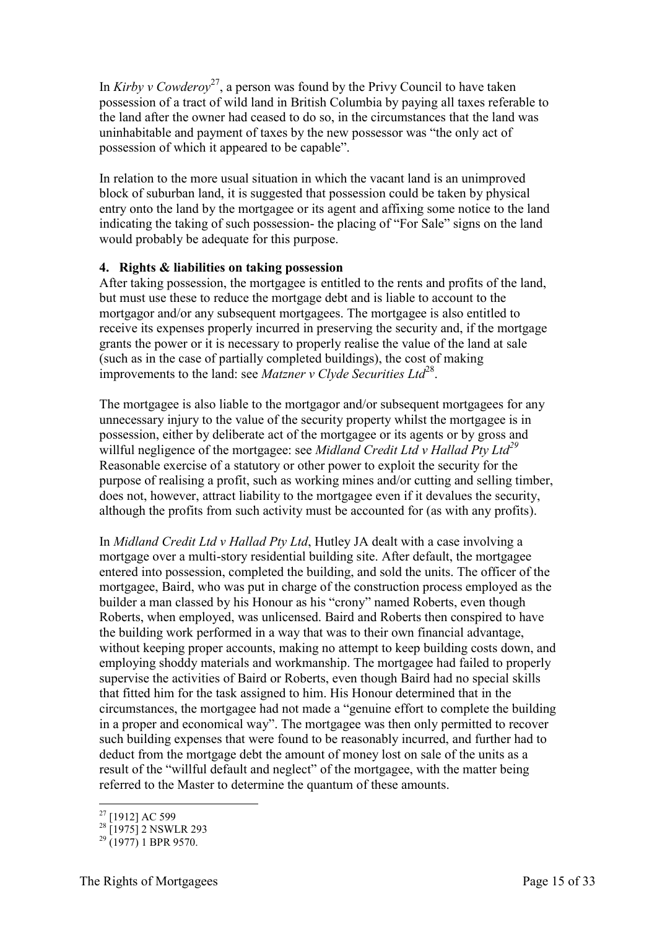In *Kirby v Cowderoy*<sup>27</sup>, a person was found by the Privy Council to have taken possession of a tract of wild land in British Columbia by paying all taxes referable to the land after the owner had ceased to do so, in the circumstances that the land was uninhabitable and payment of taxes by the new possessor was "the only act of possession of which it appeared to be capable".

In relation to the more usual situation in which the vacant land is an unimproved block of suburban land, it is suggested that possession could be taken by physical entry onto the land by the mortgagee or its agent and affixing some notice to the land indicating the taking of such possession- the placing of "For Sale" signs on the land would probably be adequate for this purpose.

#### <span id="page-14-0"></span>**4. Rights & liabilities on taking possession**

After taking possession, the mortgagee is entitled to the rents and profits of the land, but must use these to reduce the mortgage debt and is liable to account to the mortgagor and/or any subsequent mortgagees. The mortgagee is also entitled to receive its expenses properly incurred in preserving the security and, if the mortgage grants the power or it is necessary to properly realise the value of the land at sale (such as in the case of partially completed buildings), the cost of making improvements to the land: see *Matzner v Clyde Securities Ltd*<sup>28</sup>.

The mortgagee is also liable to the mortgagor and/or subsequent mortgagees for any unnecessary injury to the value of the security property whilst the mortgagee is in possession, either by deliberate act of the mortgagee or its agents or by gross and willful negligence of the mortgagee: see *Midland Credit Ltd v Hallad Pty Ltd<sup>29</sup>* Reasonable exercise of a statutory or other power to exploit the security for the purpose of realising a profit, such as working mines and/or cutting and selling timber, does not, however, attract liability to the mortgagee even if it devalues the security, although the profits from such activity must be accounted for (as with any profits).

In *Midland Credit Ltd v Hallad Pty Ltd*, Hutley JA dealt with a case involving a mortgage over a multi-story residential building site. After default, the mortgagee entered into possession, completed the building, and sold the units. The officer of the mortgagee, Baird, who was put in charge of the construction process employed as the builder a man classed by his Honour as his "crony" named Roberts, even though Roberts, when employed, was unlicensed. Baird and Roberts then conspired to have the building work performed in a way that was to their own financial advantage, without keeping proper accounts, making no attempt to keep building costs down, and employing shoddy materials and workmanship. The mortgagee had failed to properly supervise the activities of Baird or Roberts, even though Baird had no special skills that fitted him for the task assigned to him. His Honour determined that in the circumstances, the mortgagee had not made a "genuine effort to complete the building in a proper and economical way". The mortgagee was then only permitted to recover such building expenses that were found to be reasonably incurred, and further had to deduct from the mortgage debt the amount of money lost on sale of the units as a result of the "willful default and neglect" of the mortgagee, with the matter being referred to the Master to determine the quantum of these amounts.

<sup>-</sup><sup>27</sup> [1912] AC 599

 $28$  [1975] 2 NSWLR 293

 $^{29}$  (1977) 1 BPR 9570.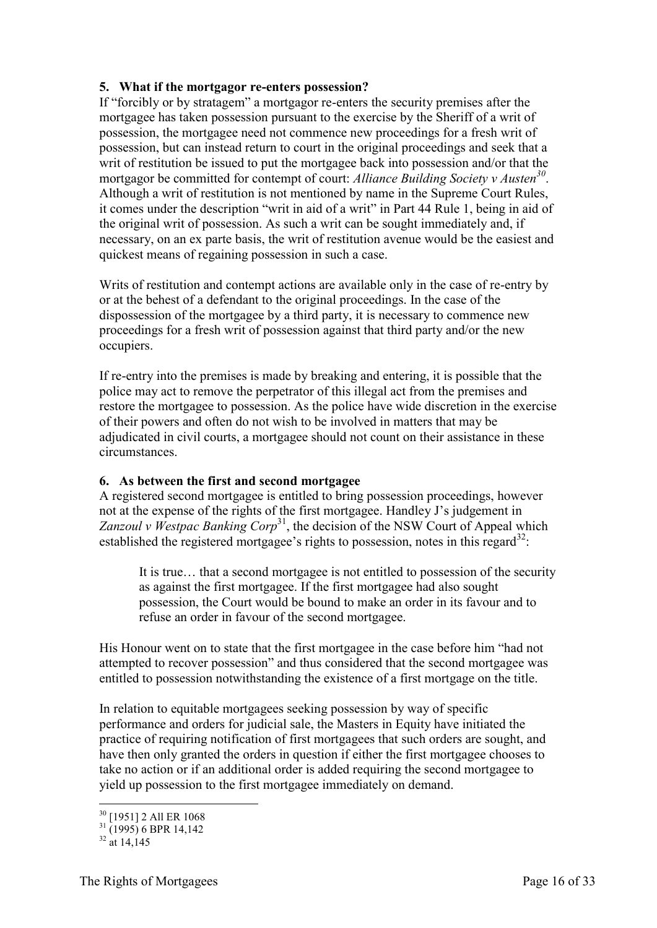#### <span id="page-15-0"></span>**5. What if the mortgagor re-enters possession?**

If "forcibly or by stratagem" a mortgagor re-enters the security premises after the mortgagee has taken possession pursuant to the exercise by the Sheriff of a writ of possession, the mortgagee need not commence new proceedings for a fresh writ of possession, but can instead return to court in the original proceedings and seek that a writ of restitution be issued to put the mortgagee back into possession and/or that the mortgagor be committed for contempt of court: *Alliance Building Society v Austen<sup>30</sup>* . Although a writ of restitution is not mentioned by name in the Supreme Court Rules, it comes under the description "writ in aid of a writ" in Part 44 Rule 1, being in aid of the original writ of possession. As such a writ can be sought immediately and, if necessary, on an ex parte basis, the writ of restitution avenue would be the easiest and quickest means of regaining possession in such a case.

Writs of restitution and contempt actions are available only in the case of re-entry by or at the behest of a defendant to the original proceedings. In the case of the dispossession of the mortgagee by a third party, it is necessary to commence new proceedings for a fresh writ of possession against that third party and/or the new occupiers.

If re-entry into the premises is made by breaking and entering, it is possible that the police may act to remove the perpetrator of this illegal act from the premises and restore the mortgagee to possession. As the police have wide discretion in the exercise of their powers and often do not wish to be involved in matters that may be adjudicated in civil courts, a mortgagee should not count on their assistance in these circumstances.

#### <span id="page-15-1"></span>**6. As between the first and second mortgagee**

A registered second mortgagee is entitled to bring possession proceedings, however not at the expense of the rights of the first mortgagee. Handley J's judgement in Zanzoul v Westpac Banking Corp<sup>31</sup>, the decision of the NSW Court of Appeal which established the registered mortgagee's rights to possession, notes in this regard<sup>32</sup>:

It is true… that a second mortgagee is not entitled to possession of the security as against the first mortgagee. If the first mortgagee had also sought possession, the Court would be bound to make an order in its favour and to refuse an order in favour of the second mortgagee.

His Honour went on to state that the first mortgagee in the case before him "had not attempted to recover possession" and thus considered that the second mortgagee was entitled to possession notwithstanding the existence of a first mortgage on the title.

In relation to equitable mortgagees seeking possession by way of specific performance and orders for judicial sale, the Masters in Equity have initiated the practice of requiring notification of first mortgagees that such orders are sought, and have then only granted the orders in question if either the first mortgagee chooses to take no action or if an additional order is added requiring the second mortgagee to yield up possession to the first mortgagee immediately on demand.

-

<sup>&</sup>lt;sup>30</sup> [1951] 2 All ER 1068

<sup>31</sup> (1995) 6 BPR 14,142

 $32 \frac{(1555)}{314}$  14,145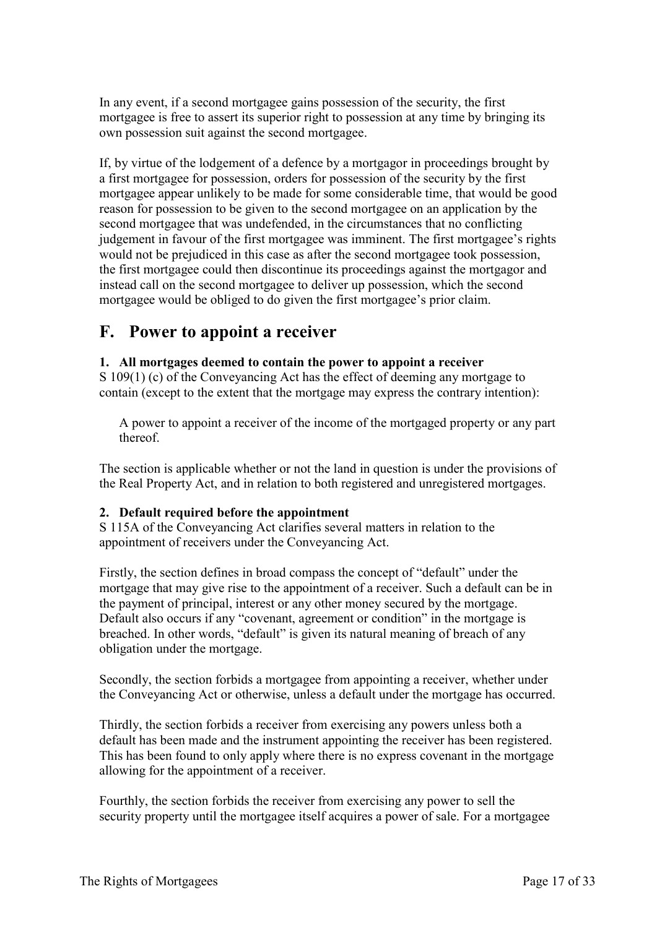In any event, if a second mortgagee gains possession of the security, the first mortgagee is free to assert its superior right to possession at any time by bringing its own possession suit against the second mortgagee.

If, by virtue of the lodgement of a defence by a mortgagor in proceedings brought by a first mortgagee for possession, orders for possession of the security by the first mortgagee appear unlikely to be made for some considerable time, that would be good reason for possession to be given to the second mortgagee on an application by the second mortgagee that was undefended, in the circumstances that no conflicting judgement in favour of the first mortgagee was imminent. The first mortgagee's rights would not be prejudiced in this case as after the second mortgagee took possession, the first mortgagee could then discontinue its proceedings against the mortgagor and instead call on the second mortgagee to deliver up possession, which the second mortgagee would be obliged to do given the first mortgagee's prior claim.

# <span id="page-16-0"></span>**F. Power to appoint a receiver**

#### <span id="page-16-1"></span>**1. All mortgages deemed to contain the power to appoint a receiver**

S 109(1) (c) of the Conveyancing Act has the effect of deeming any mortgage to contain (except to the extent that the mortgage may express the contrary intention):

A power to appoint a receiver of the income of the mortgaged property or any part thereof.

The section is applicable whether or not the land in question is under the provisions of the Real Property Act, and in relation to both registered and unregistered mortgages.

#### <span id="page-16-2"></span>**2. Default required before the appointment**

S 115A of the Conveyancing Act clarifies several matters in relation to the appointment of receivers under the Conveyancing Act.

Firstly, the section defines in broad compass the concept of "default" under the mortgage that may give rise to the appointment of a receiver. Such a default can be in the payment of principal, interest or any other money secured by the mortgage. Default also occurs if any "covenant, agreement or condition" in the mortgage is breached. In other words, "default" is given its natural meaning of breach of any obligation under the mortgage.

Secondly, the section forbids a mortgagee from appointing a receiver, whether under the Conveyancing Act or otherwise, unless a default under the mortgage has occurred.

Thirdly, the section forbids a receiver from exercising any powers unless both a default has been made and the instrument appointing the receiver has been registered. This has been found to only apply where there is no express covenant in the mortgage allowing for the appointment of a receiver.

Fourthly, the section forbids the receiver from exercising any power to sell the security property until the mortgagee itself acquires a power of sale. For a mortgagee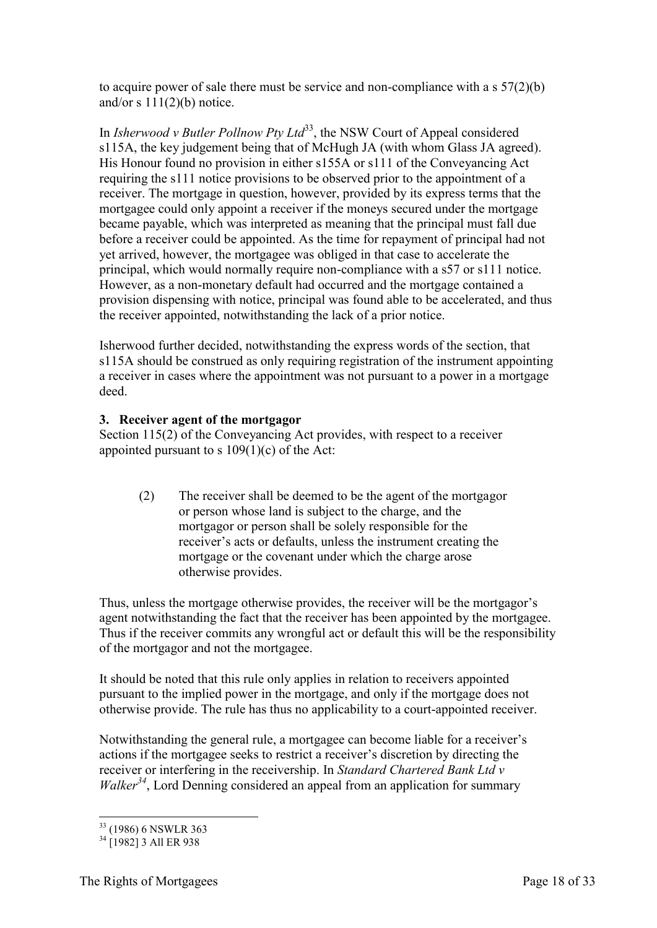to acquire power of sale there must be service and non-compliance with a s 57(2)(b) and/or  $s 111(2)(b)$  notice.

In *Isherwood v Butler Pollnow Pty Ltd*<sup>33</sup>, the NSW Court of Appeal considered s115A, the key judgement being that of McHugh JA (with whom Glass JA agreed). His Honour found no provision in either s155A or s111 of the Conveyancing Act requiring the s111 notice provisions to be observed prior to the appointment of a receiver. The mortgage in question, however, provided by its express terms that the mortgagee could only appoint a receiver if the moneys secured under the mortgage became payable, which was interpreted as meaning that the principal must fall due before a receiver could be appointed. As the time for repayment of principal had not yet arrived, however, the mortgagee was obliged in that case to accelerate the principal, which would normally require non-compliance with a s57 or s111 notice. However, as a non-monetary default had occurred and the mortgage contained a provision dispensing with notice, principal was found able to be accelerated, and thus the receiver appointed, notwithstanding the lack of a prior notice.

Isherwood further decided, notwithstanding the express words of the section, that s115A should be construed as only requiring registration of the instrument appointing a receiver in cases where the appointment was not pursuant to a power in a mortgage deed.

#### <span id="page-17-0"></span>**3. Receiver agent of the mortgagor**

Section 115(2) of the Conveyancing Act provides, with respect to a receiver appointed pursuant to s  $109(1)(c)$  of the Act:

(2) The receiver shall be deemed to be the agent of the mortgagor or person whose land is subject to the charge, and the mortgagor or person shall be solely responsible for the receiver's acts or defaults, unless the instrument creating the mortgage or the covenant under which the charge arose otherwise provides.

Thus, unless the mortgage otherwise provides, the receiver will be the mortgagor's agent notwithstanding the fact that the receiver has been appointed by the mortgagee. Thus if the receiver commits any wrongful act or default this will be the responsibility of the mortgagor and not the mortgagee.

It should be noted that this rule only applies in relation to receivers appointed pursuant to the implied power in the mortgage, and only if the mortgage does not otherwise provide. The rule has thus no applicability to a court-appointed receiver.

Notwithstanding the general rule, a mortgagee can become liable for a receiver's actions if the mortgagee seeks to restrict a receiver's discretion by directing the receiver or interfering in the receivership. In *Standard Chartered Bank Ltd v Walker*<sup>34</sup>, Lord Denning considered an appeal from an application for summary

<sup>-</sup><sup>33</sup> (1986) 6 NSWLR 363

 $34$   $\Gamma$ 19821 3 All ER 938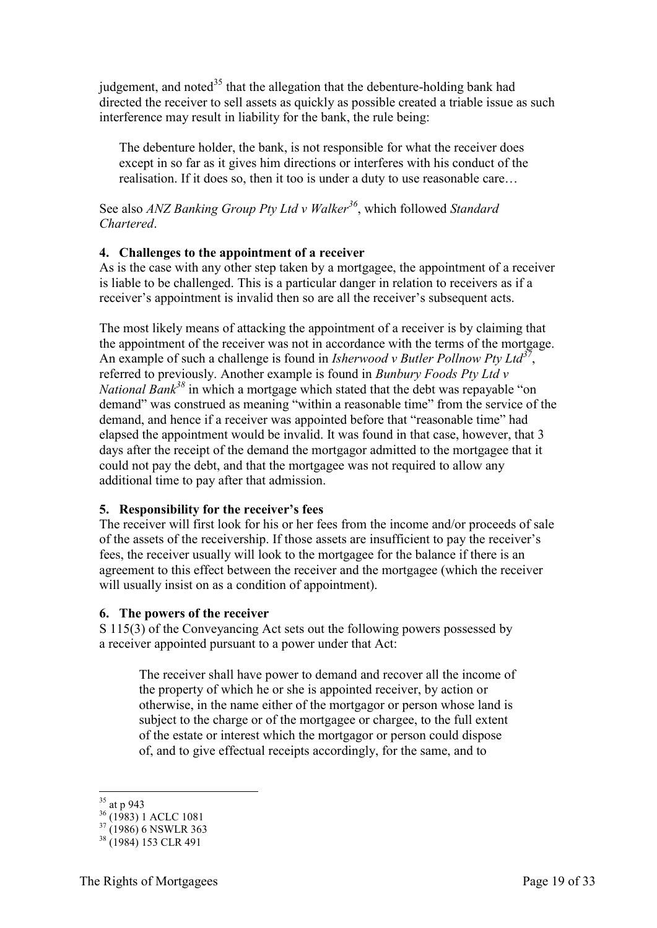judgement, and noted<sup>35</sup> that the allegation that the debenture-holding bank had directed the receiver to sell assets as quickly as possible created a triable issue as such interference may result in liability for the bank, the rule being:

The debenture holder, the bank, is not responsible for what the receiver does except in so far as it gives him directions or interferes with his conduct of the realisation. If it does so, then it too is under a duty to use reasonable care…

See also *ANZ Banking Group Pty Ltd v Walker<sup>36</sup>*, which followed *Standard Chartered*.

#### <span id="page-18-0"></span>**4. Challenges to the appointment of a receiver**

As is the case with any other step taken by a mortgagee, the appointment of a receiver is liable to be challenged. This is a particular danger in relation to receivers as if a receiver's appointment is invalid then so are all the receiver's subsequent acts.

The most likely means of attacking the appointment of a receiver is by claiming that the appointment of the receiver was not in accordance with the terms of the mortgage. An example of such a challenge is found in *Isherwood v Butler Pollnow Pty Ltd<sup>37</sup>* , referred to previously. Another example is found in *Bunbury Foods Pty Ltd v National Bank<sup>38</sup>* in which a mortgage which stated that the debt was repayable "on demand" was construed as meaning "within a reasonable time" from the service of the demand, and hence if a receiver was appointed before that "reasonable time" had elapsed the appointment would be invalid. It was found in that case, however, that 3 days after the receipt of the demand the mortgagor admitted to the mortgagee that it could not pay the debt, and that the mortgagee was not required to allow any additional time to pay after that admission.

#### <span id="page-18-1"></span>**5. Responsibility for the receiver's fees**

The receiver will first look for his or her fees from the income and/or proceeds of sale of the assets of the receivership. If those assets are insufficient to pay the receiver's fees, the receiver usually will look to the mortgagee for the balance if there is an agreement to this effect between the receiver and the mortgagee (which the receiver will usually insist on as a condition of appointment).

#### <span id="page-18-2"></span>**6. The powers of the receiver**

S 115(3) of the Conveyancing Act sets out the following powers possessed by a receiver appointed pursuant to a power under that Act:

The receiver shall have power to demand and recover all the income of the property of which he or she is appointed receiver, by action or otherwise, in the name either of the mortgagor or person whose land is subject to the charge or of the mortgagee or chargee, to the full extent of the estate or interest which the mortgagor or person could dispose of, and to give effectual receipts accordingly, for the same, and to

-

 $35$  at p 943

 $36^{41}$  (1983) 1 ACLC 1081

 $37(1986)$  6 NSWLR 363

<sup>38</sup> (1984) 153 CLR 491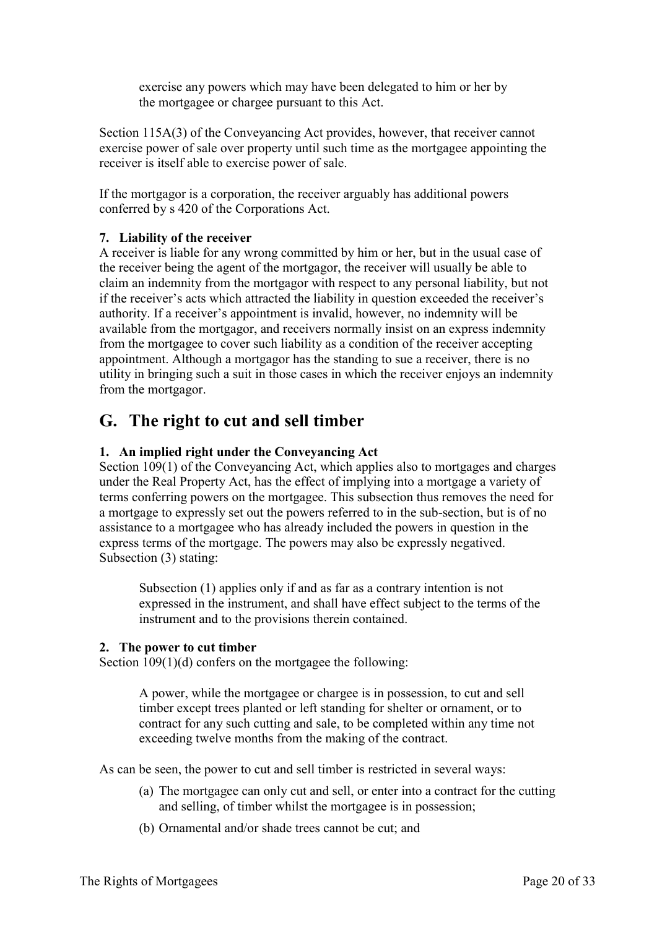exercise any powers which may have been delegated to him or her by the mortgagee or chargee pursuant to this Act.

Section 115A(3) of the Conveyancing Act provides, however, that receiver cannot exercise power of sale over property until such time as the mortgagee appointing the receiver is itself able to exercise power of sale.

If the mortgagor is a corporation, the receiver arguably has additional powers conferred by s 420 of the Corporations Act.

#### <span id="page-19-0"></span>**7. Liability of the receiver**

A receiver is liable for any wrong committed by him or her, but in the usual case of the receiver being the agent of the mortgagor, the receiver will usually be able to claim an indemnity from the mortgagor with respect to any personal liability, but not if the receiver's acts which attracted the liability in question exceeded the receiver's authority. If a receiver's appointment is invalid, however, no indemnity will be available from the mortgagor, and receivers normally insist on an express indemnity from the mortgagee to cover such liability as a condition of the receiver accepting appointment. Although a mortgagor has the standing to sue a receiver, there is no utility in bringing such a suit in those cases in which the receiver enjoys an indemnity from the mortgagor.

# <span id="page-19-1"></span>**G. The right to cut and sell timber**

#### <span id="page-19-2"></span>**1. An implied right under the Conveyancing Act**

Section 109(1) of the Conveyancing Act, which applies also to mortgages and charges under the Real Property Act, has the effect of implying into a mortgage a variety of terms conferring powers on the mortgagee. This subsection thus removes the need for a mortgage to expressly set out the powers referred to in the sub-section, but is of no assistance to a mortgagee who has already included the powers in question in the express terms of the mortgage. The powers may also be expressly negatived. Subsection (3) stating:

Subsection (1) applies only if and as far as a contrary intention is not expressed in the instrument, and shall have effect subject to the terms of the instrument and to the provisions therein contained.

#### <span id="page-19-3"></span>**2. The power to cut timber**

Section 109(1)(d) confers on the mortgagee the following:

A power, while the mortgagee or chargee is in possession, to cut and sell timber except trees planted or left standing for shelter or ornament, or to contract for any such cutting and sale, to be completed within any time not exceeding twelve months from the making of the contract.

As can be seen, the power to cut and sell timber is restricted in several ways:

- (a) The mortgagee can only cut and sell, or enter into a contract for the cutting and selling, of timber whilst the mortgagee is in possession;
- (b) Ornamental and/or shade trees cannot be cut; and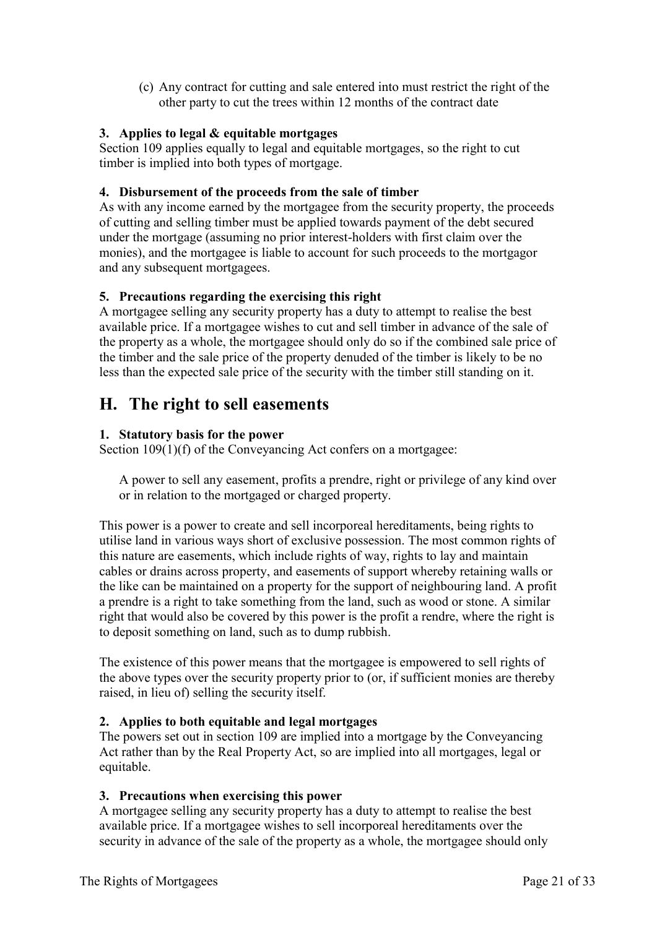(c) Any contract for cutting and sale entered into must restrict the right of the other party to cut the trees within 12 months of the contract date

#### <span id="page-20-0"></span>**3. Applies to legal & equitable mortgages**

Section 109 applies equally to legal and equitable mortgages, so the right to cut timber is implied into both types of mortgage.

#### <span id="page-20-1"></span>**4. Disbursement of the proceeds from the sale of timber**

As with any income earned by the mortgagee from the security property, the proceeds of cutting and selling timber must be applied towards payment of the debt secured under the mortgage (assuming no prior interest-holders with first claim over the monies), and the mortgagee is liable to account for such proceeds to the mortgagor and any subsequent mortgagees.

#### <span id="page-20-2"></span>**5. Precautions regarding the exercising this right**

A mortgagee selling any security property has a duty to attempt to realise the best available price. If a mortgagee wishes to cut and sell timber in advance of the sale of the property as a whole, the mortgagee should only do so if the combined sale price of the timber and the sale price of the property denuded of the timber is likely to be no less than the expected sale price of the security with the timber still standing on it.

### <span id="page-20-3"></span>**H. The right to sell easements**

#### <span id="page-20-4"></span>**1. Statutory basis for the power**

Section 109(1)(f) of the Conveyancing Act confers on a mortgagee:

A power to sell any easement, profits a prendre, right or privilege of any kind over or in relation to the mortgaged or charged property.

This power is a power to create and sell incorporeal hereditaments, being rights to utilise land in various ways short of exclusive possession. The most common rights of this nature are easements, which include rights of way, rights to lay and maintain cables or drains across property, and easements of support whereby retaining walls or the like can be maintained on a property for the support of neighbouring land. A profit a prendre is a right to take something from the land, such as wood or stone. A similar right that would also be covered by this power is the profit a rendre, where the right is to deposit something on land, such as to dump rubbish.

The existence of this power means that the mortgagee is empowered to sell rights of the above types over the security property prior to (or, if sufficient monies are thereby raised, in lieu of) selling the security itself.

### <span id="page-20-5"></span>**2. Applies to both equitable and legal mortgages**

The powers set out in section 109 are implied into a mortgage by the Conveyancing Act rather than by the Real Property Act, so are implied into all mortgages, legal or equitable.

#### <span id="page-20-6"></span>**3. Precautions when exercising this power**

A mortgagee selling any security property has a duty to attempt to realise the best available price. If a mortgagee wishes to sell incorporeal hereditaments over the security in advance of the sale of the property as a whole, the mortgagee should only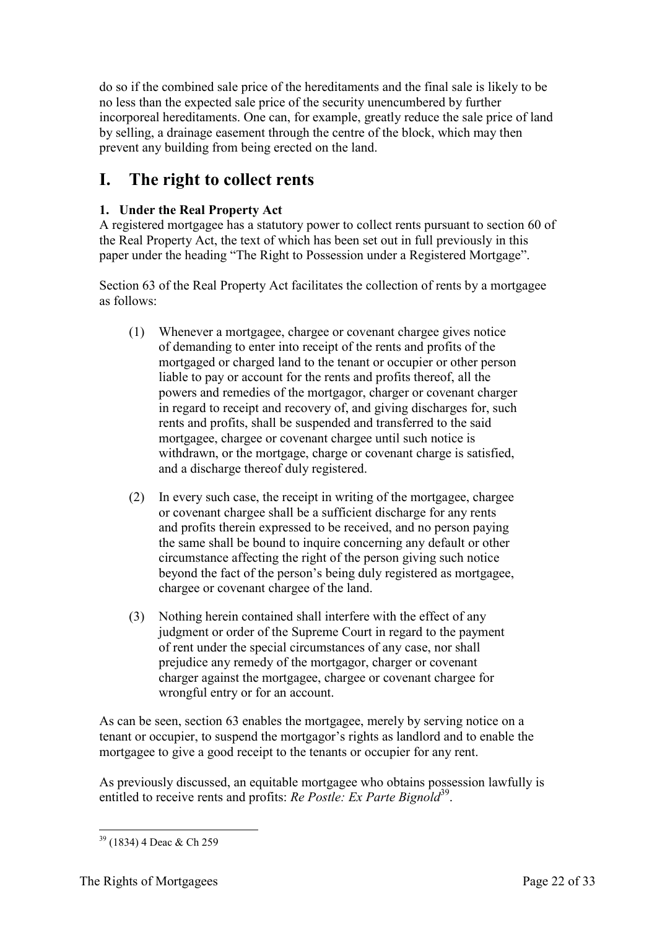do so if the combined sale price of the hereditaments and the final sale is likely to be no less than the expected sale price of the security unencumbered by further incorporeal hereditaments. One can, for example, greatly reduce the sale price of land by selling, a drainage easement through the centre of the block, which may then prevent any building from being erected on the land.

# <span id="page-21-0"></span>**I. The right to collect rents**

### <span id="page-21-1"></span>**1. Under the Real Property Act**

A registered mortgagee has a statutory power to collect rents pursuant to section 60 of the Real Property Act, the text of which has been set out in full previously in this paper under the heading "The Right to Possession under a Registered Mortgage".

Section 63 of the Real Property Act facilitates the collection of rents by a mortgagee as follows:

- (1) Whenever a mortgagee, chargee or covenant chargee gives notice of demanding to enter into receipt of the rents and profits of the mortgaged or charged land to the tenant or occupier or other person liable to pay or account for the rents and profits thereof, all the powers and remedies of the mortgagor, charger or covenant charger in regard to receipt and recovery of, and giving discharges for, such rents and profits, shall be suspended and transferred to the said mortgagee, chargee or covenant chargee until such notice is withdrawn, or the mortgage, charge or covenant charge is satisfied, and a discharge thereof duly registered.
- (2) In every such case, the receipt in writing of the mortgagee, chargee or covenant chargee shall be a sufficient discharge for any rents and profits therein expressed to be received, and no person paying the same shall be bound to inquire concerning any default or other circumstance affecting the right of the person giving such notice beyond the fact of the person's being duly registered as mortgagee, chargee or covenant chargee of the land.
- (3) Nothing herein contained shall interfere with the effect of any judgment or order of the Supreme Court in regard to the payment of rent under the special circumstances of any case, nor shall prejudice any remedy of the mortgagor, charger or covenant charger against the mortgagee, chargee or covenant chargee for wrongful entry or for an account.

As can be seen, section 63 enables the mortgagee, merely by serving notice on a tenant or occupier, to suspend the mortgagor's rights as landlord and to enable the mortgagee to give a good receipt to the tenants or occupier for any rent.

As previously discussed, an equitable mortgagee who obtains possession lawfully is entitled to receive rents and profits: *Re Postle: Ex Parte Bignold*<sup>39</sup>.

<sup>-</sup><sup>39</sup> (1834) 4 Deac & Ch 259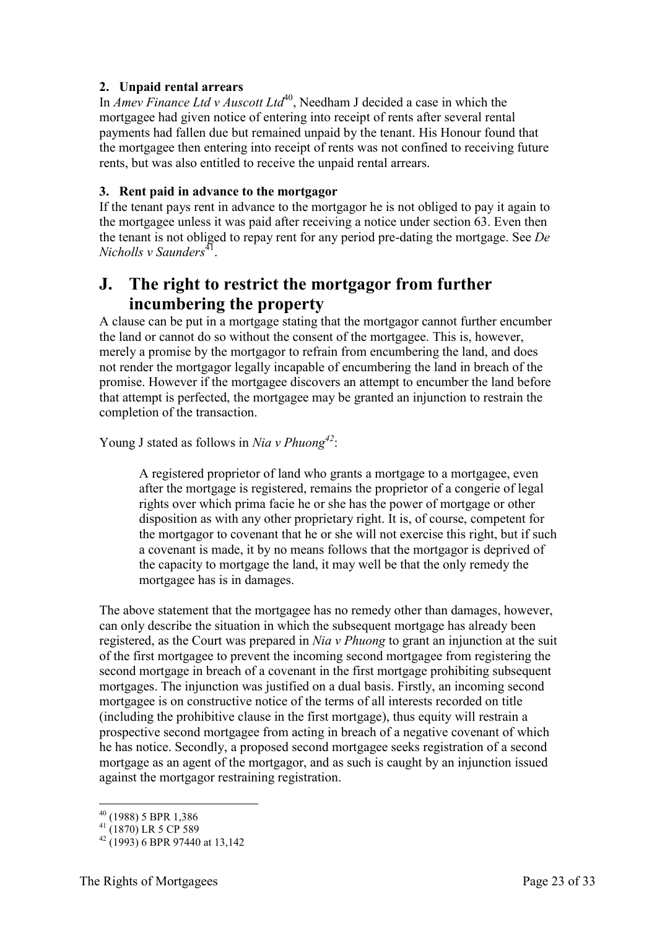#### <span id="page-22-0"></span>**2. Unpaid rental arrears**

In *Amev Finance Ltd v Auscott Ltd*<sup>40</sup>, Needham J decided a case in which the mortgagee had given notice of entering into receipt of rents after several rental payments had fallen due but remained unpaid by the tenant. His Honour found that the mortgagee then entering into receipt of rents was not confined to receiving future rents, but was also entitled to receive the unpaid rental arrears.

#### <span id="page-22-1"></span>**3. Rent paid in advance to the mortgagor**

If the tenant pays rent in advance to the mortgagor he is not obliged to pay it again to the mortgagee unless it was paid after receiving a notice under section 63. Even then the tenant is not obliged to repay rent for any period pre-dating the mortgage. See *De Nicholls v Saunders*<sup>41</sup>.

# <span id="page-22-2"></span>**J. The right to restrict the mortgagor from further incumbering the property**

A clause can be put in a mortgage stating that the mortgagor cannot further encumber the land or cannot do so without the consent of the mortgagee. This is, however, merely a promise by the mortgagor to refrain from encumbering the land, and does not render the mortgagor legally incapable of encumbering the land in breach of the promise. However if the mortgagee discovers an attempt to encumber the land before that attempt is perfected, the mortgagee may be granted an injunction to restrain the completion of the transaction.

Young J stated as follows in *Nia v Phuong<sup>42</sup>*:

A registered proprietor of land who grants a mortgage to a mortgagee, even after the mortgage is registered, remains the proprietor of a congerie of legal rights over which prima facie he or she has the power of mortgage or other disposition as with any other proprietary right. It is, of course, competent for the mortgagor to covenant that he or she will not exercise this right, but if such a covenant is made, it by no means follows that the mortgagor is deprived of the capacity to mortgage the land, it may well be that the only remedy the mortgagee has is in damages.

The above statement that the mortgagee has no remedy other than damages, however, can only describe the situation in which the subsequent mortgage has already been registered, as the Court was prepared in *Nia v Phuong* to grant an injunction at the suit of the first mortgagee to prevent the incoming second mortgagee from registering the second mortgage in breach of a covenant in the first mortgage prohibiting subsequent mortgages. The injunction was justified on a dual basis. Firstly, an incoming second mortgagee is on constructive notice of the terms of all interests recorded on title (including the prohibitive clause in the first mortgage), thus equity will restrain a prospective second mortgagee from acting in breach of a negative covenant of which he has notice. Secondly, a proposed second mortgagee seeks registration of a second mortgage as an agent of the mortgagor, and as such is caught by an injunction issued against the mortgagor restraining registration.

-

<sup>40</sup> (1988) 5 BPR 1,386

 $^{41}$  (1870) LR 5 CP 589

 $42(1993)$  6 BPR 97440 at 13.142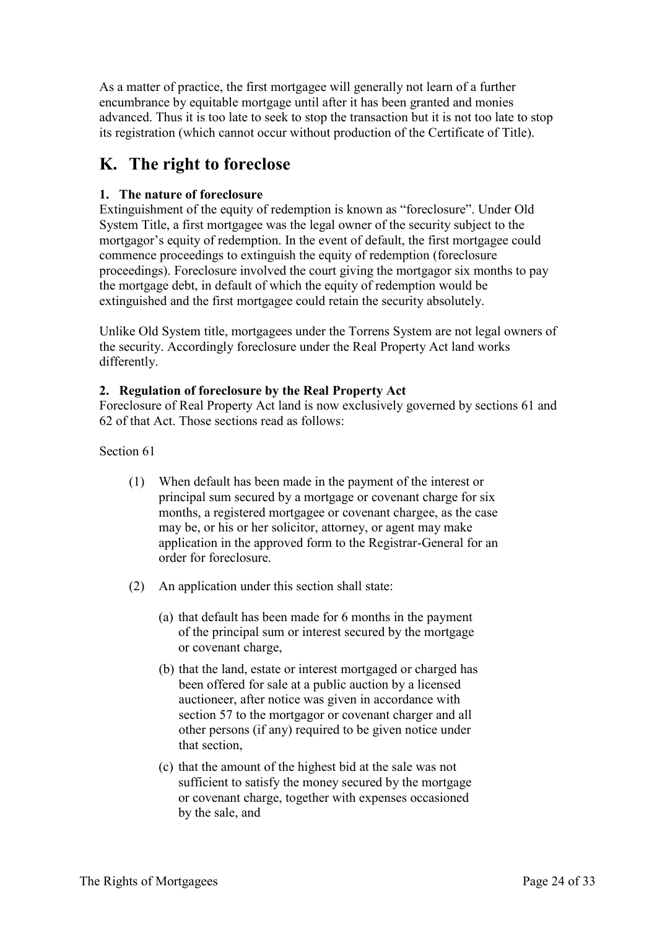As a matter of practice, the first mortgagee will generally not learn of a further encumbrance by equitable mortgage until after it has been granted and monies advanced. Thus it is too late to seek to stop the transaction but it is not too late to stop its registration (which cannot occur without production of the Certificate of Title).

# <span id="page-23-0"></span>**K. The right to foreclose**

### <span id="page-23-1"></span>**1. The nature of foreclosure**

Extinguishment of the equity of redemption is known as "foreclosure". Under Old System Title, a first mortgagee was the legal owner of the security subject to the mortgagor's equity of redemption. In the event of default, the first mortgagee could commence proceedings to extinguish the equity of redemption (foreclosure proceedings). Foreclosure involved the court giving the mortgagor six months to pay the mortgage debt, in default of which the equity of redemption would be extinguished and the first mortgagee could retain the security absolutely.

Unlike Old System title, mortgagees under the Torrens System are not legal owners of the security. Accordingly foreclosure under the Real Property Act land works differently.

### <span id="page-23-2"></span>**2. Regulation of foreclosure by the Real Property Act**

Foreclosure of Real Property Act land is now exclusively governed by sections 61 and 62 of that Act. Those sections read as follows:

#### Section 61

- (1) When default has been made in the payment of the interest or principal sum secured by a mortgage or covenant charge for six months, a registered mortgagee or covenant chargee, as the case may be, or his or her solicitor, attorney, or agent may make application in the approved form to the Registrar-General for an order for foreclosure.
- (2) An application under this section shall state:
	- (a) that default has been made for 6 months in the payment of the principal sum or interest secured by the mortgage or covenant charge,
	- (b) that the land, estate or interest mortgaged or charged has been offered for sale at a public auction by a licensed auctioneer, after notice was given in accordance with section 57 to the mortgagor or covenant charger and all other persons (if any) required to be given notice under that section,
	- (c) that the amount of the highest bid at the sale was not sufficient to satisfy the money secured by the mortgage or covenant charge, together with expenses occasioned by the sale, and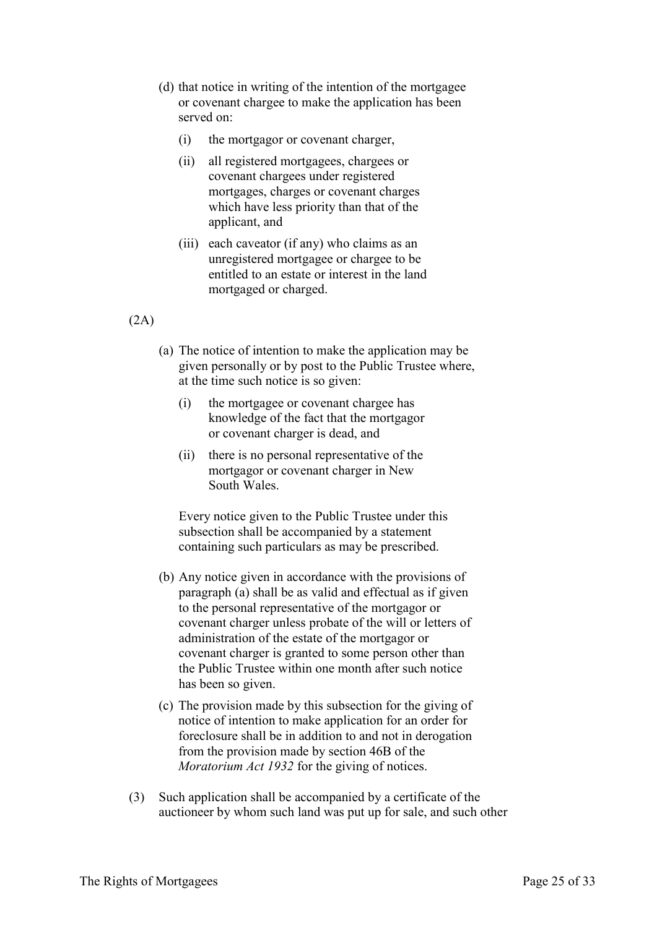- (d) that notice in writing of the intention of the mortgagee or covenant chargee to make the application has been served on:
	- (i) the mortgagor or covenant charger,
	- (ii) all registered mortgagees, chargees or covenant chargees under registered mortgages, charges or covenant charges which have less priority than that of the applicant, and
	- (iii) each caveator (if any) who claims as an unregistered mortgagee or chargee to be entitled to an estate or interest in the land mortgaged or charged.

#### (2A)

- (a) The notice of intention to make the application may be given personally or by post to the Public Trustee where, at the time such notice is so given:
	- (i) the mortgagee or covenant chargee has knowledge of the fact that the mortgagor or covenant charger is dead, and
	- (ii) there is no personal representative of the mortgagor or covenant charger in New South Wales.

Every notice given to the Public Trustee under this subsection shall be accompanied by a statement containing such particulars as may be prescribed.

- (b) Any notice given in accordance with the provisions of paragraph (a) shall be as valid and effectual as if given to the personal representative of the mortgagor or covenant charger unless probate of the will or letters of administration of the estate of the mortgagor or covenant charger is granted to some person other than the Public Trustee within one month after such notice has been so given.
- (c) The provision made by this subsection for the giving of notice of intention to make application for an order for foreclosure shall be in addition to and not in derogation from the provision made by section 46B of the *Moratorium Act 1932* for the giving of notices.
- (3) Such application shall be accompanied by a certificate of the auctioneer by whom such land was put up for sale, and such other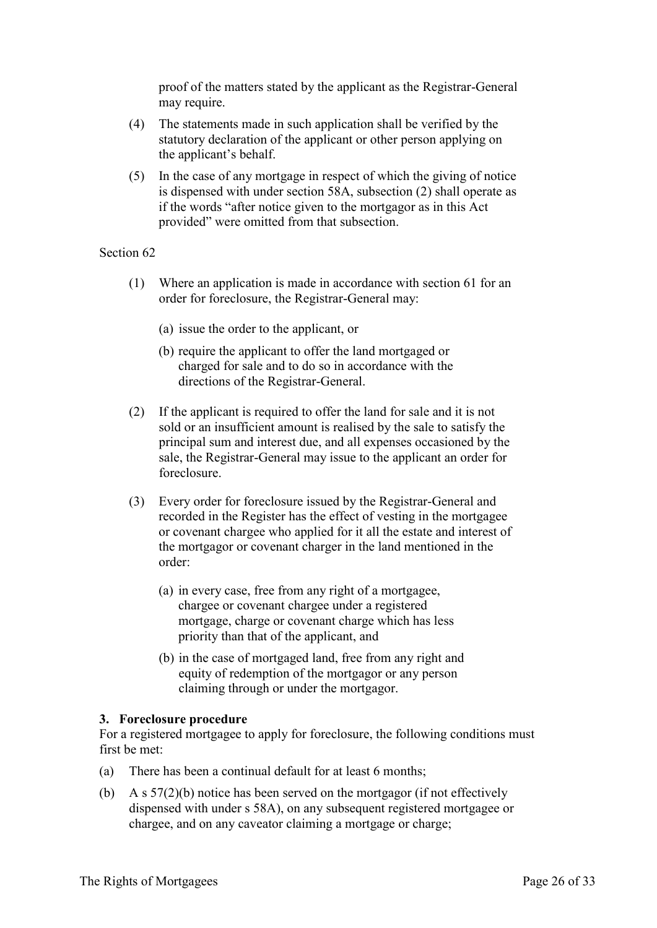proof of the matters stated by the applicant as the Registrar-General may require.

- (4) The statements made in such application shall be verified by the statutory declaration of the applicant or other person applying on the applicant's behalf.
- (5) In the case of any mortgage in respect of which the giving of notice is dispensed with under section 58A, subsection (2) shall operate as if the words "after notice given to the mortgagor as in this Act provided" were omitted from that subsection.

#### Section 62

- (1) Where an application is made in accordance with section 61 for an order for foreclosure, the Registrar-General may:
	- (a) issue the order to the applicant, or
	- (b) require the applicant to offer the land mortgaged or charged for sale and to do so in accordance with the directions of the Registrar-General.
- (2) If the applicant is required to offer the land for sale and it is not sold or an insufficient amount is realised by the sale to satisfy the principal sum and interest due, and all expenses occasioned by the sale, the Registrar-General may issue to the applicant an order for foreclosure.
- (3) Every order for foreclosure issued by the Registrar-General and recorded in the Register has the effect of vesting in the mortgagee or covenant chargee who applied for it all the estate and interest of the mortgagor or covenant charger in the land mentioned in the order:
	- (a) in every case, free from any right of a mortgagee, chargee or covenant chargee under a registered mortgage, charge or covenant charge which has less priority than that of the applicant, and
	- (b) in the case of mortgaged land, free from any right and equity of redemption of the mortgagor or any person claiming through or under the mortgagor.

#### <span id="page-25-0"></span>**3. Foreclosure procedure**

For a registered mortgagee to apply for foreclosure, the following conditions must first be met:

- (a) There has been a continual default for at least 6 months;
- (b) A s 57(2)(b) notice has been served on the mortgagor (if not effectively dispensed with under s 58A), on any subsequent registered mortgagee or chargee, and on any caveator claiming a mortgage or charge;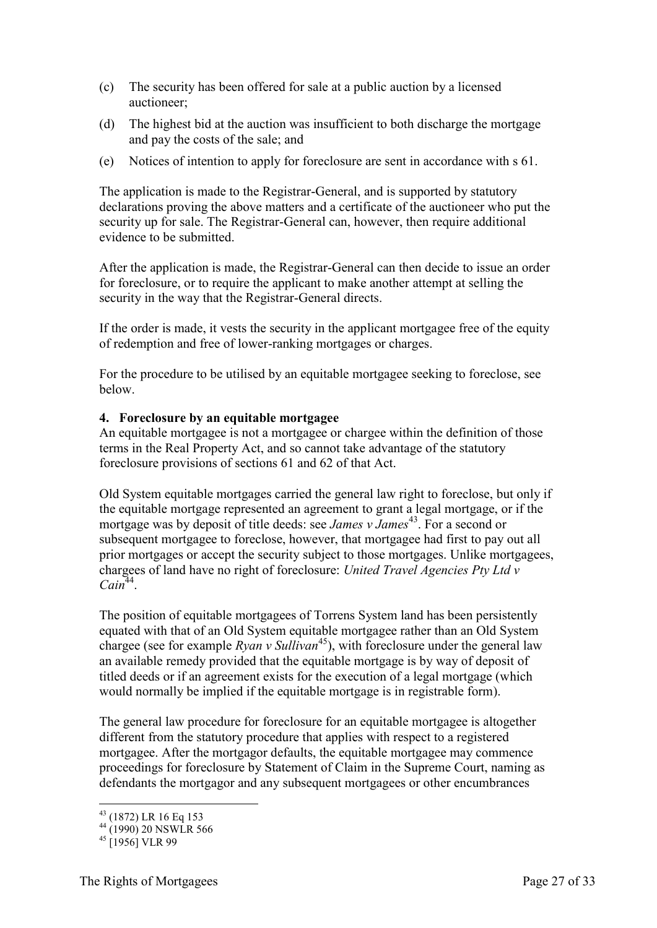- (c) The security has been offered for sale at a public auction by a licensed auctioneer;
- (d) The highest bid at the auction was insufficient to both discharge the mortgage and pay the costs of the sale; and
- (e) Notices of intention to apply for foreclosure are sent in accordance with s 61.

The application is made to the Registrar-General, and is supported by statutory declarations proving the above matters and a certificate of the auctioneer who put the security up for sale. The Registrar-General can, however, then require additional evidence to be submitted.

After the application is made, the Registrar-General can then decide to issue an order for foreclosure, or to require the applicant to make another attempt at selling the security in the way that the Registrar-General directs.

If the order is made, it vests the security in the applicant mortgagee free of the equity of redemption and free of lower-ranking mortgages or charges.

For the procedure to be utilised by an equitable mortgagee seeking to foreclose, see below.

#### <span id="page-26-0"></span>**4. Foreclosure by an equitable mortgagee**

An equitable mortgagee is not a mortgagee or chargee within the definition of those terms in the Real Property Act, and so cannot take advantage of the statutory foreclosure provisions of sections 61 and 62 of that Act.

Old System equitable mortgages carried the general law right to foreclose, but only if the equitable mortgage represented an agreement to grant a legal mortgage, or if the mortgage was by deposit of title deeds: see *James v James*<sup>43</sup>. For a second or subsequent mortgagee to foreclose, however, that mortgagee had first to pay out all prior mortgages or accept the security subject to those mortgages. Unlike mortgagees, chargees of land have no right of foreclosure: *United Travel Agencies Pty Ltd v*   $Cain<sup>44</sup>$ .

The position of equitable mortgagees of Torrens System land has been persistently equated with that of an Old System equitable mortgagee rather than an Old System chargee (see for example  $R$ *yan v Sullivan*<sup>45</sup>), with foreclosure under the general law an available remedy provided that the equitable mortgage is by way of deposit of titled deeds or if an agreement exists for the execution of a legal mortgage (which would normally be implied if the equitable mortgage is in registrable form).

The general law procedure for foreclosure for an equitable mortgagee is altogether different from the statutory procedure that applies with respect to a registered mortgagee. After the mortgagor defaults, the equitable mortgagee may commence proceedings for foreclosure by Statement of Claim in the Supreme Court, naming as defendants the mortgagor and any subsequent mortgagees or other encumbrances

<sup>-</sup><sup>43</sup> (1872) LR 16 Eq 153

 $^{44}$  (1990) 20 NSWLR 566

 $45$  [1956] VLR 99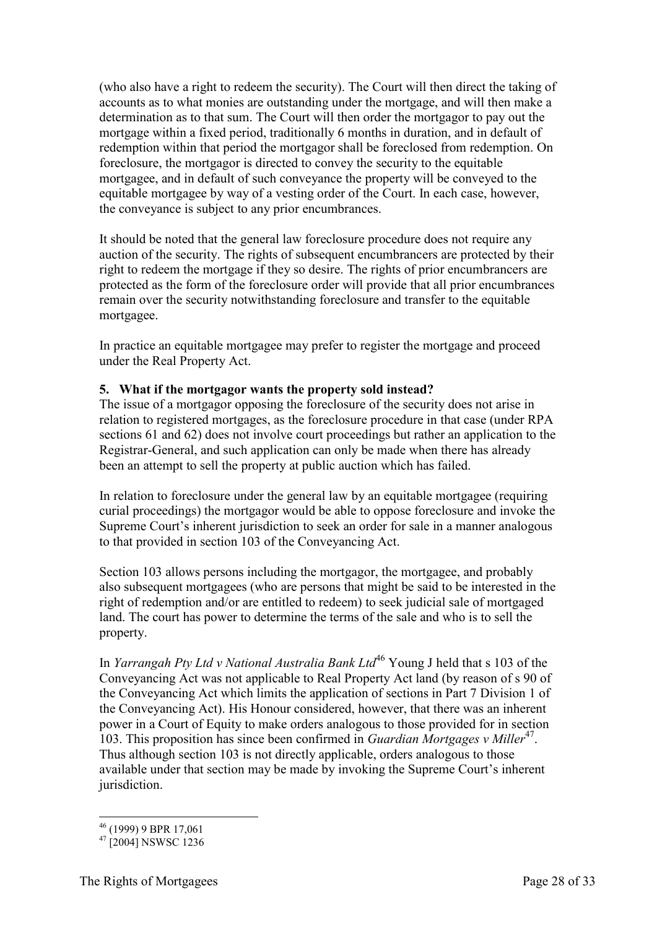(who also have a right to redeem the security). The Court will then direct the taking of accounts as to what monies are outstanding under the mortgage, and will then make a determination as to that sum. The Court will then order the mortgagor to pay out the mortgage within a fixed period, traditionally 6 months in duration, and in default of redemption within that period the mortgagor shall be foreclosed from redemption. On foreclosure, the mortgagor is directed to convey the security to the equitable mortgagee, and in default of such conveyance the property will be conveyed to the equitable mortgagee by way of a vesting order of the Court. In each case, however, the conveyance is subject to any prior encumbrances.

It should be noted that the general law foreclosure procedure does not require any auction of the security. The rights of subsequent encumbrancers are protected by their right to redeem the mortgage if they so desire. The rights of prior encumbrancers are protected as the form of the foreclosure order will provide that all prior encumbrances remain over the security notwithstanding foreclosure and transfer to the equitable mortgagee.

In practice an equitable mortgagee may prefer to register the mortgage and proceed under the Real Property Act.

#### <span id="page-27-0"></span>**5. What if the mortgagor wants the property sold instead?**

The issue of a mortgagor opposing the foreclosure of the security does not arise in relation to registered mortgages, as the foreclosure procedure in that case (under RPA sections 61 and 62) does not involve court proceedings but rather an application to the Registrar-General, and such application can only be made when there has already been an attempt to sell the property at public auction which has failed.

In relation to foreclosure under the general law by an equitable mortgagee (requiring curial proceedings) the mortgagor would be able to oppose foreclosure and invoke the Supreme Court's inherent jurisdiction to seek an order for sale in a manner analogous to that provided in section 103 of the Conveyancing Act.

Section 103 allows persons including the mortgagor, the mortgagee, and probably also subsequent mortgagees (who are persons that might be said to be interested in the right of redemption and/or are entitled to redeem) to seek judicial sale of mortgaged land. The court has power to determine the terms of the sale and who is to sell the property.

In *Yarrangah Pty Ltd v National Australia Bank Ltd*<sup>46</sup> Young J held that s 103 of the Conveyancing Act was not applicable to Real Property Act land (by reason of s 90 of the Conveyancing Act which limits the application of sections in Part 7 Division 1 of the Conveyancing Act). His Honour considered, however, that there was an inherent power in a Court of Equity to make orders analogous to those provided for in section 103. This proposition has since been confirmed in *Guardian Mortgages v Miller*<sup>47</sup>. Thus although section 103 is not directly applicable, orders analogous to those available under that section may be made by invoking the Supreme Court's inherent jurisdiction.

<sup>-</sup><sup>46</sup> (1999) 9 BPR 17,061

 $47$  [2004] NSWSC 1236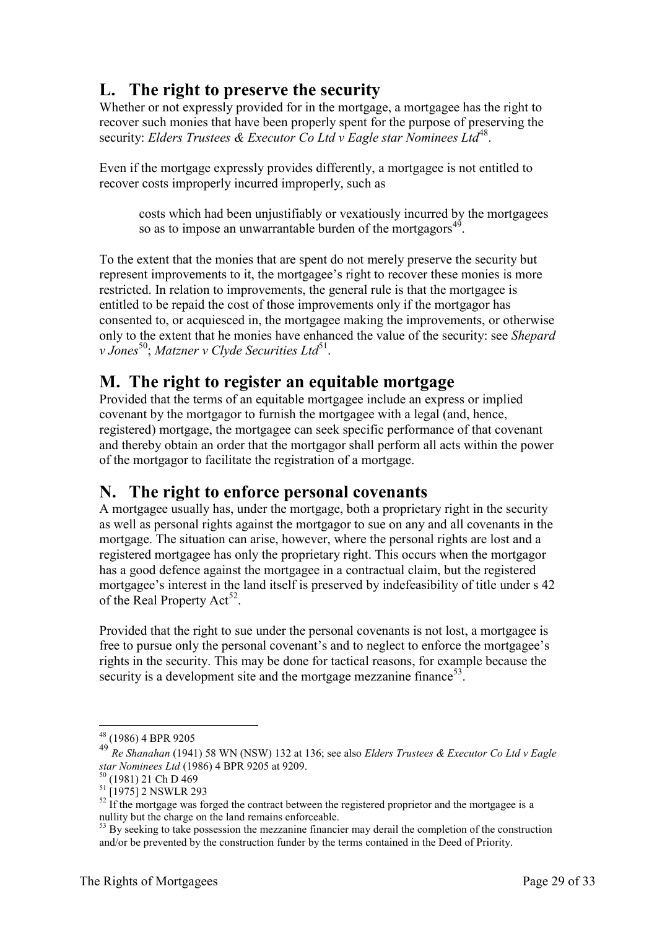# <span id="page-28-0"></span>**L. The right to preserve the security**

Whether or not expressly provided for in the mortgage, a mortgagee has the right to recover such monies that have been properly spent for the purpose of preserving the security: Elders Trustees & Executor Co Ltd v Eagle star Nominees Ltd<sup>48</sup>.

Even if the mortgage expressly provides differently, a mortgagee is not entitled to recover costs improperly incurred improperly, such as

costs which had been unjustifiably or vexatiously incurred by the mortgagees so as to impose an unwarrantable burden of the mortgagors<sup>49</sup>.

To the extent that the monies that are spent do not merely preserve the security but represent improvements to it, the mortgagee's right to recover these monies is more restricted. In relation to improvements, the general rule is that the mortgagee is entitled to be repaid the cost of those improvements only if the mortgagor has consented to, or acquiesced in, the mortgagee making the improvements, or otherwise only to the extent that he monies have enhanced the value of the security: see *Shepard*  v Jones<sup>50</sup>; Matzner v Clyde Securities Ltd<sup>51</sup>.

# <span id="page-28-1"></span>**M. The right to register an equitable mortgage**

Provided that the terms of an equitable mortgagee include an express or implied covenant by the mortgagor to furnish the mortgagee with a legal (and, hence, registered) mortgage, the mortgagee can seek specific performance of that covenant and thereby obtain an order that the mortgagor shall perform all acts within the power of the mortgagor to facilitate the registration of a mortgage.

# <span id="page-28-2"></span>**N. The right to enforce personal covenants**

A mortgagee usually has, under the mortgage, both a proprietary right in the security as well as personal rights against the mortgagor to sue on any and all covenants in the mortgage. The situation can arise, however, where the personal rights are lost and a registered mortgagee has only the proprietary right. This occurs when the mortgagor has a good defence against the mortgagee in a contractual claim, but the registered mortgagee's interest in the land itself is preserved by indefeasibility of title under s 42 of the Real Property  $Act^{52}$ .

Provided that the right to sue under the personal covenants is not lost, a mortgagee is free to pursue only the personal covenant's and to neglect to enforce the mortgagee's rights in the security. This may be done for tactical reasons, for example because the security is a development site and the mortgage mezzanine finance<sup>53</sup>.

<sup>-</sup><sup>48</sup> (1986) 4 BPR 9205

<sup>49</sup> *Re Shanahan* (1941) 58 WN (NSW) 132 at 136; see also *Elders Trustees & Executor Co Ltd v Eagle star Nominees Ltd* (1986) 4 BPR 9205 at 9209.

<sup>(1981) 21</sup> Ch D 469

<sup>51</sup> [1975] 2 NSWLR 293

 $52$  If the mortgage was forged the contract between the registered proprietor and the mortgagee is a nullity but the charge on the land remains enforceable.

 $53$  By seeking to take possession the mezzanine financier may derail the completion of the construction and/or be prevented by the construction funder by the terms contained in the Deed of Priority.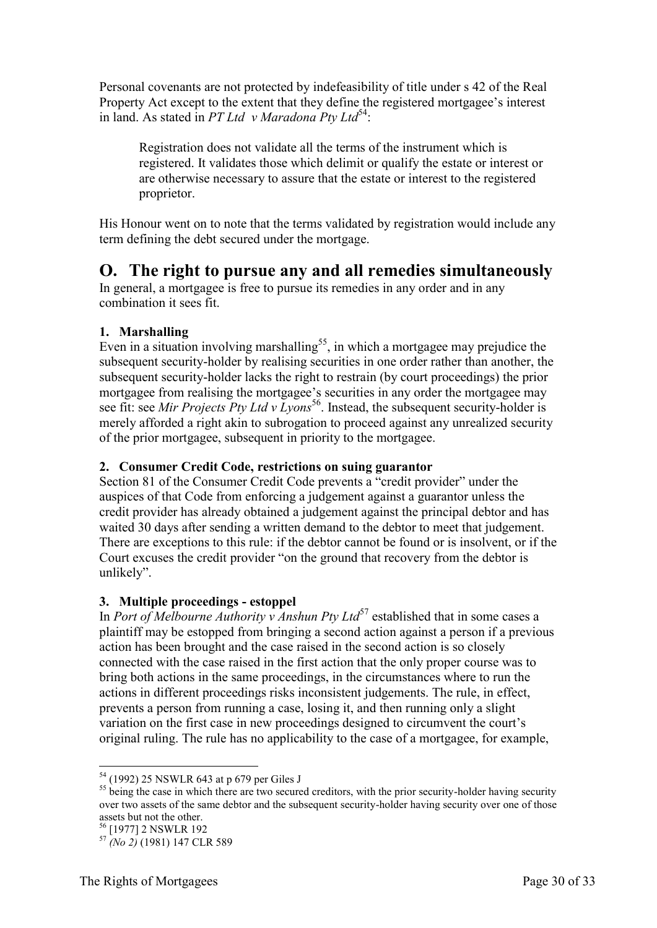Personal covenants are not protected by indefeasibility of title under s 42 of the Real Property Act except to the extent that they define the registered mortgagee's interest in land. As stated in *PT Ltd v Maradona Ptv Ltd*<sup>54</sup>:

Registration does not validate all the terms of the instrument which is registered. It validates those which delimit or qualify the estate or interest or are otherwise necessary to assure that the estate or interest to the registered proprietor.

His Honour went on to note that the terms validated by registration would include any term defining the debt secured under the mortgage.

### <span id="page-29-0"></span>**O. The right to pursue any and all remedies simultaneously**

In general, a mortgagee is free to pursue its remedies in any order and in any combination it sees fit.

### <span id="page-29-1"></span>**1. Marshalling**

Even in a situation involving marshalling<sup>55</sup>, in which a mortgagee may prejudice the subsequent security-holder by realising securities in one order rather than another, the subsequent security-holder lacks the right to restrain (by court proceedings) the prior mortgagee from realising the mortgagee's securities in any order the mortgagee may see fit: see *Mir Projects Pty Ltd v Lyons*<sup>56</sup>. Instead, the subsequent security-holder is merely afforded a right akin to subrogation to proceed against any unrealized security of the prior mortgagee, subsequent in priority to the mortgagee.

### <span id="page-29-2"></span>**2. Consumer Credit Code, restrictions on suing guarantor**

Section 81 of the Consumer Credit Code prevents a "credit provider" under the auspices of that Code from enforcing a judgement against a guarantor unless the credit provider has already obtained a judgement against the principal debtor and has waited 30 days after sending a written demand to the debtor to meet that judgement. There are exceptions to this rule: if the debtor cannot be found or is insolvent, or if the Court excuses the credit provider "on the ground that recovery from the debtor is unlikely".

#### <span id="page-29-3"></span>**3. Multiple proceedings - estoppel**

In *Port of Melbourne Authority v Anshun Pty Ltd*<sup>57</sup> established that in some cases a plaintiff may be estopped from bringing a second action against a person if a previous action has been brought and the case raised in the second action is so closely connected with the case raised in the first action that the only proper course was to bring both actions in the same proceedings, in the circumstances where to run the actions in different proceedings risks inconsistent judgements. The rule, in effect, prevents a person from running a case, losing it, and then running only a slight variation on the first case in new proceedings designed to circumvent the court's original ruling. The rule has no applicability to the case of a mortgagee, for example,

<u>.</u>

<sup>&</sup>lt;sup>54</sup> (1992) 25 NSWLR 643 at p 679 per Giles J

 $55$  being the case in which there are two secured creditors, with the prior security-holder having security over two assets of the same debtor and the subsequent security-holder having security over one of those assets but not the other.

<sup>&</sup>lt;sup>56</sup> [1977] 2 NSWLR 192

<sup>57</sup> *(No 2)* (1981) 147 CLR 589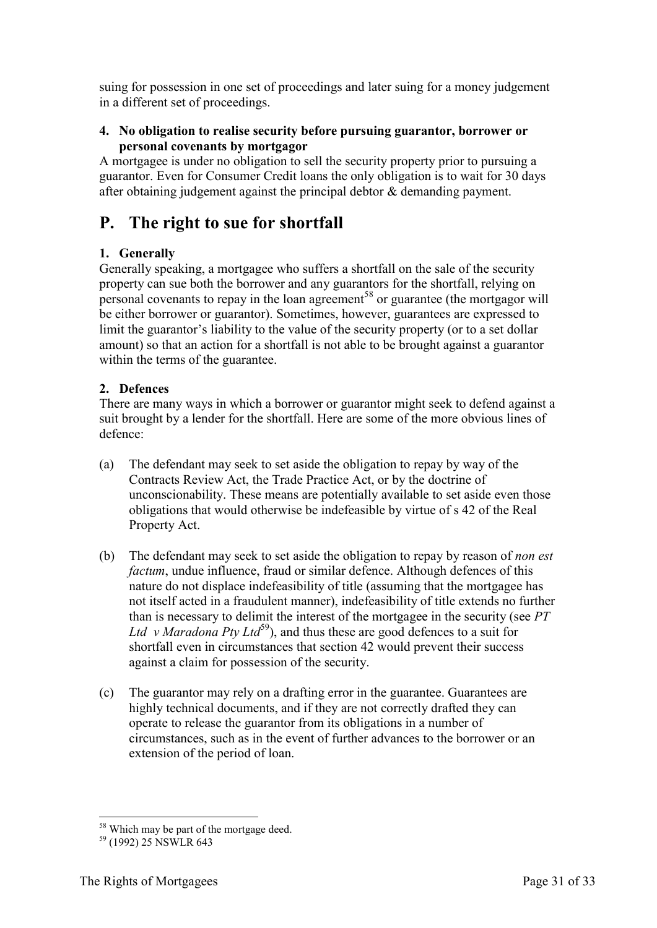suing for possession in one set of proceedings and later suing for a money judgement in a different set of proceedings.

#### <span id="page-30-0"></span>**4. No obligation to realise security before pursuing guarantor, borrower or personal covenants by mortgagor**

A mortgagee is under no obligation to sell the security property prior to pursuing a guarantor. Even for Consumer Credit loans the only obligation is to wait for 30 days after obtaining judgement against the principal debtor & demanding payment.

# <span id="page-30-1"></span>**P. The right to sue for shortfall**

### <span id="page-30-2"></span>**1. Generally**

Generally speaking, a mortgagee who suffers a shortfall on the sale of the security property can sue both the borrower and any guarantors for the shortfall, relying on personal covenants to repay in the loan agreement<sup>58</sup> or guarantee (the mortgagor will be either borrower or guarantor). Sometimes, however, guarantees are expressed to limit the guarantor's liability to the value of the security property (or to a set dollar amount) so that an action for a shortfall is not able to be brought against a guarantor within the terms of the guarantee.

### <span id="page-30-3"></span>**2. Defences**

There are many ways in which a borrower or guarantor might seek to defend against a suit brought by a lender for the shortfall. Here are some of the more obvious lines of defence:

- (a) The defendant may seek to set aside the obligation to repay by way of the Contracts Review Act, the Trade Practice Act, or by the doctrine of unconscionability. These means are potentially available to set aside even those obligations that would otherwise be indefeasible by virtue of s 42 of the Real Property Act.
- (b) The defendant may seek to set aside the obligation to repay by reason of *non est factum*, undue influence, fraud or similar defence. Although defences of this nature do not displace indefeasibility of title (assuming that the mortgagee has not itself acted in a fraudulent manner), indefeasibility of title extends no further than is necessary to delimit the interest of the mortgagee in the security (see *PT Ltd v Maradona Pty Ltd*<sup>59</sup>), and thus these are good defences to a suit for shortfall even in circumstances that section 42 would prevent their success against a claim for possession of the security.
- (c) The guarantor may rely on a drafting error in the guarantee. Guarantees are highly technical documents, and if they are not correctly drafted they can operate to release the guarantor from its obligations in a number of circumstances, such as in the event of further advances to the borrower or an extension of the period of loan.

<sup>-</sup><sup>58</sup> Which may be part of the mortgage deed.

<sup>59</sup> (1992) 25 NSWLR 643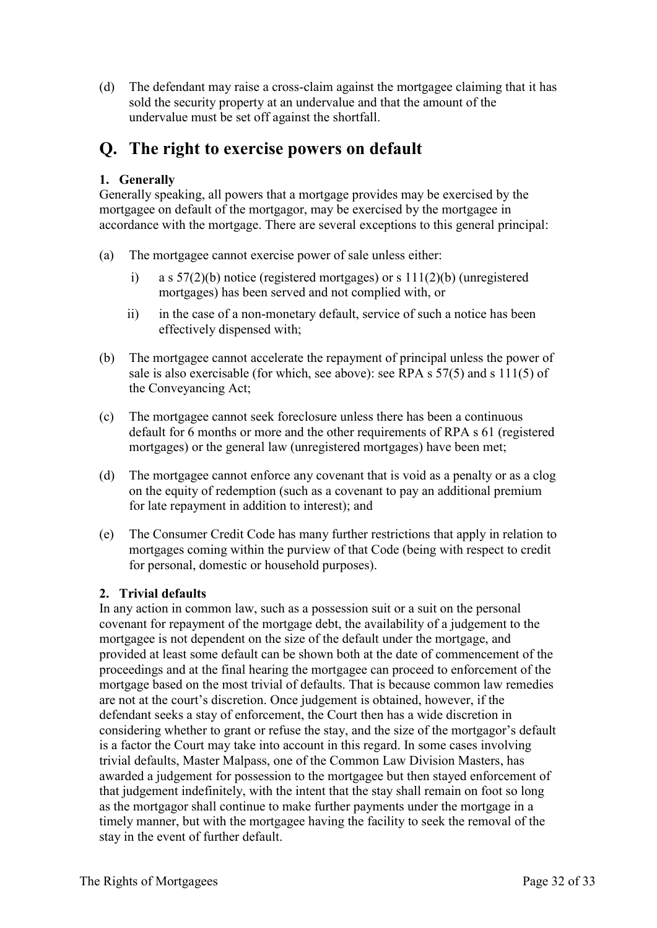(d) The defendant may raise a cross-claim against the mortgagee claiming that it has sold the security property at an undervalue and that the amount of the undervalue must be set off against the shortfall.

# <span id="page-31-0"></span>**Q. The right to exercise powers on default**

### <span id="page-31-1"></span>**1. Generally**

Generally speaking, all powers that a mortgage provides may be exercised by the mortgagee on default of the mortgagor, may be exercised by the mortgagee in accordance with the mortgage. There are several exceptions to this general principal:

- (a) The mortgagee cannot exercise power of sale unless either:
	- i) a s  $57(2)(b)$  notice (registered mortgages) or s  $111(2)(b)$  (unregistered mortgages) has been served and not complied with, or
	- ii) in the case of a non-monetary default, service of such a notice has been effectively dispensed with;
- (b) The mortgagee cannot accelerate the repayment of principal unless the power of sale is also exercisable (for which, see above): see RPA s 57(5) and s 111(5) of the Conveyancing Act;
- (c) The mortgagee cannot seek foreclosure unless there has been a continuous default for 6 months or more and the other requirements of RPA s 61 (registered mortgages) or the general law (unregistered mortgages) have been met;
- (d) The mortgagee cannot enforce any covenant that is void as a penalty or as a clog on the equity of redemption (such as a covenant to pay an additional premium for late repayment in addition to interest); and
- (e) The Consumer Credit Code has many further restrictions that apply in relation to mortgages coming within the purview of that Code (being with respect to credit for personal, domestic or household purposes).

### <span id="page-31-2"></span>**2. Trivial defaults**

In any action in common law, such as a possession suit or a suit on the personal covenant for repayment of the mortgage debt, the availability of a judgement to the mortgagee is not dependent on the size of the default under the mortgage, and provided at least some default can be shown both at the date of commencement of the proceedings and at the final hearing the mortgagee can proceed to enforcement of the mortgage based on the most trivial of defaults. That is because common law remedies are not at the court's discretion. Once judgement is obtained, however, if the defendant seeks a stay of enforcement, the Court then has a wide discretion in considering whether to grant or refuse the stay, and the size of the mortgagor's default is a factor the Court may take into account in this regard. In some cases involving trivial defaults, Master Malpass, one of the Common Law Division Masters, has awarded a judgement for possession to the mortgagee but then stayed enforcement of that judgement indefinitely, with the intent that the stay shall remain on foot so long as the mortgagor shall continue to make further payments under the mortgage in a timely manner, but with the mortgagee having the facility to seek the removal of the stay in the event of further default.